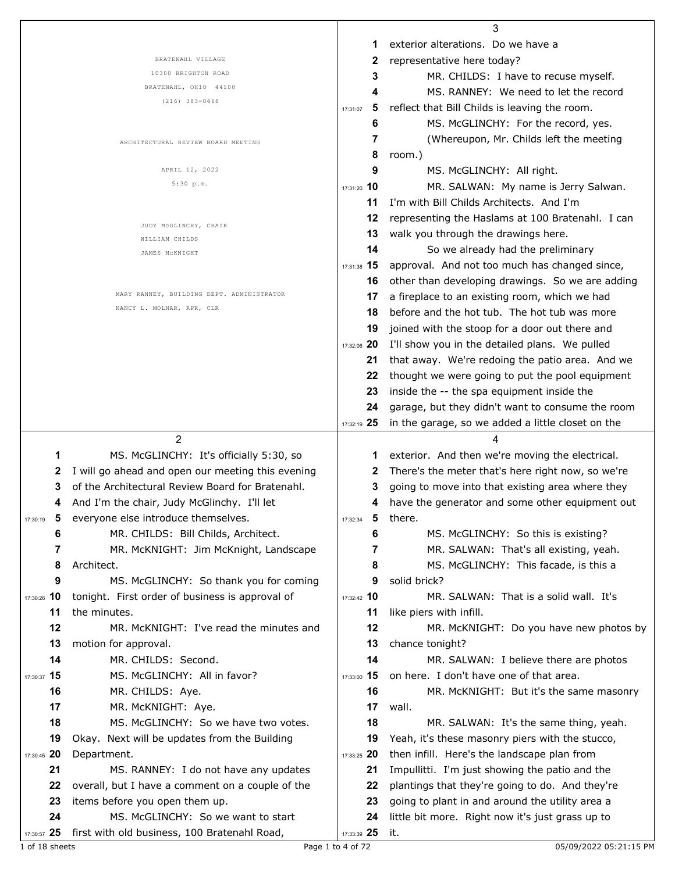|                                                                | 3                                                                |                                         |
|----------------------------------------------------------------|------------------------------------------------------------------|-----------------------------------------|
|                                                                | exterior alterations. Do we have a<br>1                          |                                         |
| BRATENAHL VILLAGE                                              | representative here today?<br>2                                  |                                         |
| 10300 BRIGHTON ROAD                                            | 3                                                                | MR. CHILDS: I have to recuse myself.    |
| BRATENAHL, OHIO 44108                                          | 4                                                                | MS. RANNEY: We need to let the record   |
| $(216)$ 383-0468                                               | reflect that Bill Childs is leaving the room.<br>5<br>17:31:07   |                                         |
|                                                                | 6                                                                | MS. McGLINCHY: For the record, yes.     |
| ARCHITECTURAL REVIEW BOARD MEETING                             | 7                                                                | (Whereupon, Mr. Childs left the meeting |
|                                                                | 8<br>room.)                                                      |                                         |
| APRIL 12, 2022                                                 | 9<br>MS. McGLINCHY: All right.                                   |                                         |
| 5:30 p.m.                                                      | 17:31:20 10                                                      | MR. SALWAN: My name is Jerry Salwan.    |
|                                                                | I'm with Bill Childs Architects. And I'm<br>11                   |                                         |
|                                                                | 12<br>representing the Haslams at 100 Bratenahl. I can           |                                         |
| JUDY MCGLINCHY, CHAIR                                          | 13<br>walk you through the drawings here.                        |                                         |
| WILLIAM CHILDS                                                 | 14<br>So we already had the preliminary                          |                                         |
| JAMES MCKNIGHT                                                 | approval. And not too much has changed since,<br>17:31:38 15     |                                         |
|                                                                | other than developing drawings. So we are adding<br>16           |                                         |
| MARY RANNEY, BUILDING DEPT. ADMINISTRATOR                      | a fireplace to an existing room, which we had<br>17              |                                         |
| NANCY L. MOLNAR, RPR, CLR                                      | 18<br>before and the hot tub. The hot tub was more               |                                         |
|                                                                | 19<br>joined with the stoop for a door out there and             |                                         |
|                                                                | I'll show you in the detailed plans. We pulled                   |                                         |
|                                                                | 17:32:06 20                                                      |                                         |
|                                                                | that away. We're redoing the patio area. And we<br>21            |                                         |
|                                                                | 22<br>thought we were going to put the pool equipment            |                                         |
|                                                                | 23<br>inside the -- the spa equipment inside the                 |                                         |
|                                                                | 24<br>garage, but they didn't want to consume the room           |                                         |
|                                                                | 17:32:19 25<br>in the garage, so we added a little closet on the |                                         |
|                                                                |                                                                  |                                         |
| 2                                                              | 4                                                                |                                         |
| MS. McGLINCHY: It's officially 5:30, so<br>1                   | exterior. And then we're moving the electrical.<br>1             |                                         |
| 2<br>I will go ahead and open our meeting this evening         | There's the meter that's here right now, so we're<br>2           |                                         |
| of the Architectural Review Board for Bratenahl.<br>3          | 3<br>going to move into that existing area where they            |                                         |
| And I'm the chair, Judy McGlinchy. I'll let<br>4               | have the generator and some other equipment out<br>4             |                                         |
| $\sqrt{5}$<br>everyone else introduce themselves.<br>17:30:19  | 5<br>there.<br>17:32:34                                          |                                         |
| 6<br>MR. CHILDS: Bill Childs, Architect.                       | 6                                                                | MS. McGLINCHY: So this is existing?     |
| 7<br>MR. McKNIGHT: Jim McKnight, Landscape                     | 7                                                                | MR. SALWAN: That's all existing, yeah.  |
| 8<br>Architect.                                                | 8                                                                | MS. McGLINCHY: This facade, is this a   |
| MS. McGLINCHY: So thank you for coming<br>9                    | solid brick?<br>9                                                |                                         |
| tonight. First order of business is approval of<br>17:30:26 10 | 17:32:42 10                                                      | MR. SALWAN: That is a solid wall. It's  |
| 11<br>the minutes.                                             | 11<br>like piers with infill.                                    |                                         |
| 12<br>MR. McKNIGHT: I've read the minutes and                  | 12                                                               | MR. McKNIGHT: Do you have new photos by |
| motion for approval.<br>13                                     | 13<br>chance tonight?                                            |                                         |
| 14<br>MR. CHILDS: Second.                                      | 14                                                               | MR. SALWAN: I believe there are photos  |
| 17:30:37 15<br>MS. McGLINCHY: All in favor?                    | 17:33:00 15<br>on here. I don't have one of that area.           |                                         |
| 16<br>MR. CHILDS: Aye.                                         | 16                                                               | MR. McKNIGHT: But it's the same masonry |
| 17<br>MR. McKNIGHT: Aye.                                       | 17<br>wall.                                                      |                                         |
| MS. McGLINCHY: So we have two votes.<br>18                     | 18                                                               | MR. SALWAN: It's the same thing, yeah.  |
| 19<br>Okay. Next will be updates from the Building             | Yeah, it's these masonry piers with the stucco,<br>19            |                                         |
| 17:30:45 20<br>Department.                                     | then infill. Here's the landscape plan from<br>17:33:25 20       |                                         |
| 21<br>MS. RANNEY: I do not have any updates                    | Impullitti. I'm just showing the patio and the<br>21             |                                         |
| overall, but I have a comment on a couple of the<br>22         | plantings that they're going to do. And they're<br>22            |                                         |
| 23<br>items before you open them up.                           | going to plant in and around the utility area a<br>23            |                                         |
| 24<br>MS. McGLINCHY: So we want to start                       | little bit more. Right now it's just grass up to<br>24           |                                         |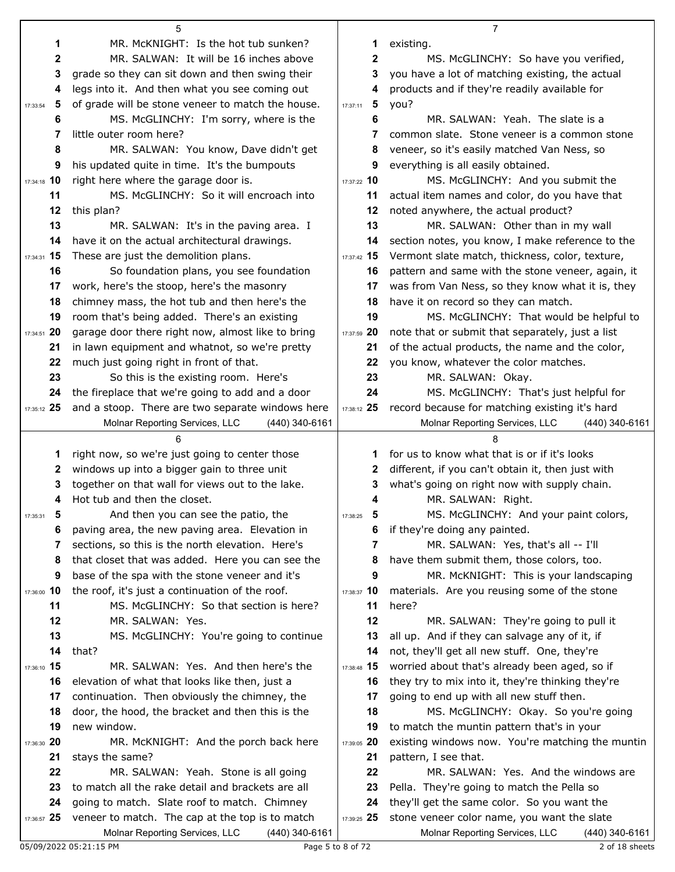|               | 5                                                                                         |                   | 7                                                                                         |
|---------------|-------------------------------------------------------------------------------------------|-------------------|-------------------------------------------------------------------------------------------|
| 1             | MR. McKNIGHT: Is the hot tub sunken?                                                      | 1                 | existing.                                                                                 |
| 2             | MR. SALWAN: It will be 16 inches above                                                    | 2                 | MS. McGLINCHY: So have you verified,                                                      |
| 3             | grade so they can sit down and then swing their                                           | 3                 | you have a lot of matching existing, the actual                                           |
| 4             | legs into it. And then what you see coming out                                            | 4                 | products and if they're readily available for                                             |
| 5<br>17:33:54 | of grade will be stone veneer to match the house.                                         | -5<br>17:37:11    | you?                                                                                      |
| 6             | MS. McGLINCHY: I'm sorry, where is the                                                    | 6                 | MR. SALWAN: Yeah. The slate is a                                                          |
| 7             | little outer room here?                                                                   | 7                 | common slate. Stone veneer is a common stone                                              |
| 8             | MR. SALWAN: You know, Dave didn't get                                                     | 8                 | veneer, so it's easily matched Van Ness, so                                               |
| 9             | his updated quite in time. It's the bumpouts                                              | 9                 | everything is all easily obtained.                                                        |
| 17:34:18 10   | right here where the garage door is.                                                      | 17:37:22 10       | MS. McGLINCHY: And you submit the                                                         |
| 11            | MS. McGLINCHY: So it will encroach into                                                   | 11                | actual item names and color, do you have that                                             |
| 12            | this plan?                                                                                | 12                | noted anywhere, the actual product?                                                       |
| 13            | MR. SALWAN: It's in the paving area. I                                                    | 13                | MR. SALWAN: Other than in my wall                                                         |
| 14            | have it on the actual architectural drawings.                                             | 14                | section notes, you know, I make reference to the                                          |
| 17:34:31 15   | These are just the demolition plans.                                                      | 17:37:42 15       | Vermont slate match, thickness, color, texture,                                           |
| 16            | So foundation plans, you see foundation                                                   | 16                | pattern and same with the stone veneer, again, it                                         |
| 17            | work, here's the stoop, here's the masonry                                                | 17                | was from Van Ness, so they know what it is, they                                          |
| 18            | chimney mass, the hot tub and then here's the                                             | 18                | have it on record so they can match.                                                      |
| 19            | room that's being added. There's an existing                                              | 19                | MS. McGLINCHY: That would be helpful to                                                   |
| 17:34:51 20   | garage door there right now, almost like to bring                                         | 17:37:59 20       | note that or submit that separately, just a list                                          |
| 21            | in lawn equipment and whatnot, so we're pretty                                            | 21                | of the actual products, the name and the color,                                           |
| 22            | much just going right in front of that.                                                   | 22<br>23          | you know, whatever the color matches.                                                     |
| 23<br>24      | So this is the existing room. Here's<br>the fireplace that we're going to add and a door  | 24                | MR. SALWAN: Okay.<br>MS. McGLINCHY: That's just helpful for                               |
| 17:35:12 25   | and a stoop. There are two separate windows here                                          | 17:38:12 25       | record because for matching existing it's hard                                            |
|               | Molnar Reporting Services, LLC<br>(440) 340-6161                                          |                   | Molnar Reporting Services, LLC<br>$(440)$ 340-6161                                        |
|               |                                                                                           |                   |                                                                                           |
| 1             | right now, so we're just going to center those                                            | 1                 | for us to know what that is or if it's looks                                              |
| 2             | windows up into a bigger gain to three unit                                               | 2                 | different, if you can't obtain it, then just with                                         |
| 3             | together on that wall for views out to the lake.                                          | 3                 | what's going on right now with supply chain.                                              |
| 4             | Hot tub and then the closet.                                                              | 4                 | MR. SALWAN: Right.                                                                        |
| 5<br>17:35:31 | And then you can see the patio, the                                                       | 17:38:25<br>Ð     | MS. McGLINCHY: And your paint colors,                                                     |
| 6             | paving area, the new paving area. Elevation in                                            | 6                 | if they're doing any painted.                                                             |
| 7             | sections, so this is the north elevation. Here's                                          | 7                 | MR. SALWAN: Yes, that's all -- I'll                                                       |
| 8             | that closet that was added. Here you can see the                                          | 8                 | have them submit them, those colors, too.                                                 |
| 9             | base of the spa with the stone veneer and it's                                            | 9                 | MR. McKNIGHT: This is your landscaping                                                    |
| 17:36:00 10   | the roof, it's just a continuation of the roof.                                           | 17:38:37 10       | materials. Are you reusing some of the stone                                              |
| 11            | MS. McGLINCHY: So that section is here?                                                   | 11                | here?                                                                                     |
| 12            | MR. SALWAN: Yes.                                                                          | 12                | MR. SALWAN: They're going to pull it                                                      |
| 13            | MS. McGLINCHY: You're going to continue                                                   | 13                | all up. And if they can salvage any of it, if                                             |
| 14            | that?                                                                                     | 14                | not, they'll get all new stuff. One, they're                                              |
| 17:36:10 15   | MR. SALWAN: Yes. And then here's the                                                      | 17:38:48 15       | worried about that's already been aged, so if                                             |
| 16            | elevation of what that looks like then, just a                                            | 16                | they try to mix into it, they're thinking they're                                         |
| 17            | continuation. Then obviously the chimney, the                                             | 17                | going to end up with all new stuff then.                                                  |
| 18            | door, the hood, the bracket and then this is the                                          | 18                | MS. McGLINCHY: Okay. So you're going                                                      |
| 19            | new window.                                                                               | 19                | to match the muntin pattern that's in your                                                |
| 17:36:30 20   | MR. McKNIGHT: And the porch back here                                                     | 17:39:05 20       | existing windows now. You're matching the muntin                                          |
| 21            | stays the same?                                                                           | 21                | pattern, I see that.                                                                      |
| 22            | MR. SALWAN: Yeah. Stone is all going<br>to match all the rake detail and brackets are all | 22<br>23          | MR. SALWAN: Yes. And the windows are                                                      |
| 23<br>24      | going to match. Slate roof to match. Chimney                                              | 24                | Pella. They're going to match the Pella so<br>they'll get the same color. So you want the |
| 17:36:57 25   | veneer to match. The cap at the top is to match                                           | 17:39:25 25       | stone veneer color name, you want the slate                                               |
|               | Molnar Reporting Services, LLC<br>(440) 340-6161                                          |                   | Molnar Reporting Services, LLC<br>(440) 340-6161                                          |
|               | 05/09/2022 05:21:15 PM                                                                    | Page 5 to 8 of 72 | 2 of 18 sheets                                                                            |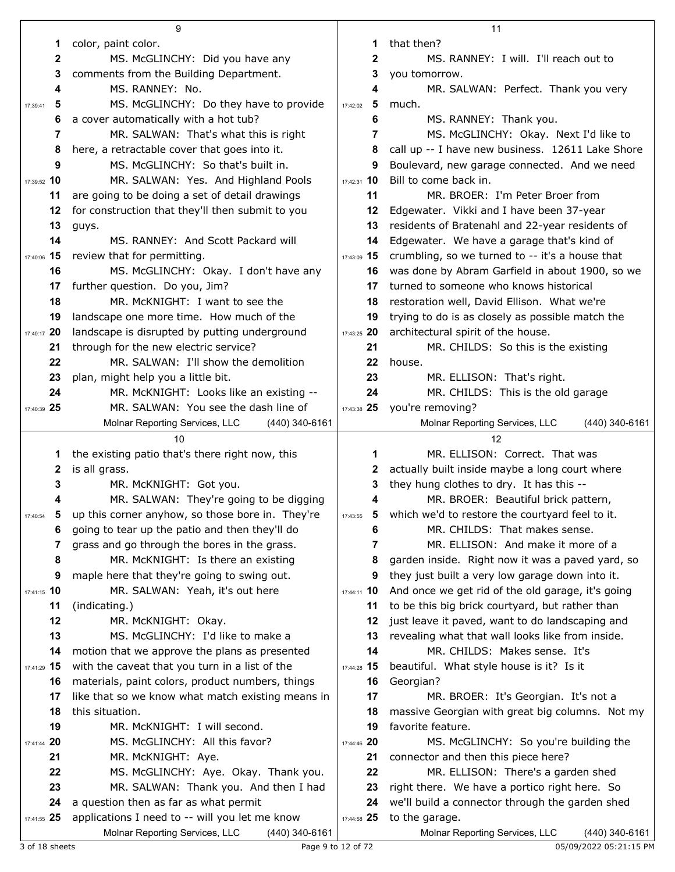|                   | 9                                                                                       |               | 11                                                                |
|-------------------|-----------------------------------------------------------------------------------------|---------------|-------------------------------------------------------------------|
| 1                 | color, paint color.                                                                     | 1             | that then?                                                        |
| 2                 | MS. McGLINCHY: Did you have any                                                         | 2             | MS. RANNEY: I will. I'll reach out to                             |
| 3                 | comments from the Building Department.                                                  | 3             | you tomorrow.                                                     |
| 4                 | MS. RANNEY: No.                                                                         | 4             | MR. SALWAN: Perfect. Thank you very                               |
| 5<br>17:39:41     | MS. McGLINCHY: Do they have to provide                                                  | 5<br>17:42:02 | much.                                                             |
| 6                 | a cover automatically with a hot tub?                                                   | 6             | MS. RANNEY: Thank you.                                            |
| 7                 | MR. SALWAN: That's what this is right                                                   | 7             | MS. McGLINCHY: Okay. Next I'd like to                             |
| 8                 | here, a retractable cover that goes into it.                                            | 8             | call up -- I have new business. 12611 Lake Shore                  |
| 9                 | MS. McGLINCHY: So that's built in.                                                      | 9             | Boulevard, new garage connected. And we need                      |
| 17:39:52 10       | MR. SALWAN: Yes. And Highland Pools                                                     | 17:42:31 10   | Bill to come back in.                                             |
| 11                | are going to be doing a set of detail drawings                                          | 11            | MR. BROER: I'm Peter Broer from                                   |
| 12                | for construction that they'll then submit to you                                        | 12            | Edgewater. Vikki and I have been 37-year                          |
| 13                | guys.                                                                                   | 13            | residents of Bratenahl and 22-year residents of                   |
| 14                | MS. RANNEY: And Scott Packard will                                                      | 14            | Edgewater. We have a garage that's kind of                        |
| 17:40:06 15       | review that for permitting.                                                             | $17:43:09$ 15 | crumbling, so we turned to -- it's a house that                   |
| 16                | MS. McGLINCHY: Okay. I don't have any                                                   | 16            | was done by Abram Garfield in about 1900, so we                   |
| 17                | further question. Do you, Jim?                                                          | 17            | turned to someone who knows historical                            |
| 18                | MR. McKNIGHT: I want to see the                                                         | 18            | restoration well, David Ellison. What we're                       |
| 19                | landscape one more time. How much of the                                                | 19            | trying to do is as closely as possible match the                  |
| 17:40:17 20       | landscape is disrupted by putting underground                                           | 17:43:25 20   | architectural spirit of the house.                                |
| 21                | through for the new electric service?                                                   | 21            | MR. CHILDS: So this is the existing                               |
| 22                | MR. SALWAN: I'll show the demolition                                                    | 22            | house.                                                            |
| 23                | plan, might help you a little bit.                                                      | 23            | MR. ELLISON: That's right.                                        |
| 24                | MR. McKNIGHT: Looks like an existing --                                                 | 24            | MR. CHILDS: This is the old garage                                |
| 17:40:39 25       | MR. SALWAN: You see the dash line of                                                    | 17:43:38 25   | you're removing?                                                  |
|                   | Molnar Reporting Services, LLC<br>$(440)$ 340-6161                                      |               | Molnar Reporting Services, LLC<br>(440) 340-6161                  |
|                   |                                                                                         |               |                                                                   |
|                   | 10                                                                                      |               | 12                                                                |
| 1                 | the existing patio that's there right now, this                                         | 1             | MR. ELLISON: Correct. That was                                    |
| 2                 | is all grass.                                                                           | 2             | actually built inside maybe a long court where                    |
| 3                 | MR. McKNIGHT: Got you.                                                                  | 3             | they hung clothes to dry. It has this --                          |
| 4                 | MR. SALWAN: They're going to be digging                                                 | 4             | MR. BROER: Beautiful brick pattern,                               |
| 5<br>17:40:54     | up this corner anyhow, so those bore in. They're                                        | 5<br>17:43:55 | which we'd to restore the courtyard feel to it.                   |
| 6                 | going to tear up the patio and then they'll do                                          | 6             | MR. CHILDS: That makes sense.                                     |
| 7                 | grass and go through the bores in the grass.                                            | 7             | MR. ELLISON: And make it more of a                                |
| 8                 | MR. McKNIGHT: Is there an existing                                                      | 8             | garden inside. Right now it was a paved yard, so                  |
| 9                 | maple here that they're going to swing out.                                             | 9             | they just built a very low garage down into it.                   |
| 17:41:15 10       | MR. SALWAN: Yeah, it's out here                                                         | 17:44:11 10   | And once we get rid of the old garage, it's going                 |
| 11                | (indicating.)                                                                           | 11            | to be this big brick courtyard, but rather than                   |
| 12                | MR. McKNIGHT: Okay.                                                                     | 12            | just leave it paved, want to do landscaping and                   |
| 13                | MS. McGLINCHY: I'd like to make a                                                       | 13            | revealing what that wall looks like from inside.                  |
| 14                | motion that we approve the plans as presented                                           | 14            | MR. CHILDS: Makes sense. It's                                     |
| 17:41:29 15       | with the caveat that you turn in a list of the                                          | 17:44:28 15   | beautiful. What style house is it? Is it                          |
| 16                | materials, paint colors, product numbers, things                                        | 16            | Georgian?                                                         |
| 17                | like that so we know what match existing means in                                       | 17            | MR. BROER: It's Georgian. It's not a                              |
| 18                | this situation.                                                                         | 18            | massive Georgian with great big columns. Not my                   |
| 19                | MR. McKNIGHT: I will second.                                                            | 19            | favorite feature.                                                 |
| 20<br>17:41:44    | MS. McGLINCHY: All this favor?                                                          | $17:44:46$ 20 | MS. McGLINCHY: So you're building the                             |
| 21                | MR. McKNIGHT: Aye.                                                                      | 21            | connector and then this piece here?                               |
| 22                | MS. McGLINCHY: Aye. Okay. Thank you.                                                    | 22            | MR. ELLISON: There's a garden shed                                |
| 23                | MR. SALWAN: Thank you. And then I had                                                   | 23<br>24      | right there. We have a portico right here. So                     |
| 24<br>17:41:55 25 | a question then as far as what permit<br>applications I need to -- will you let me know | 17:44:58 25   | we'll build a connector through the garden shed<br>to the garage. |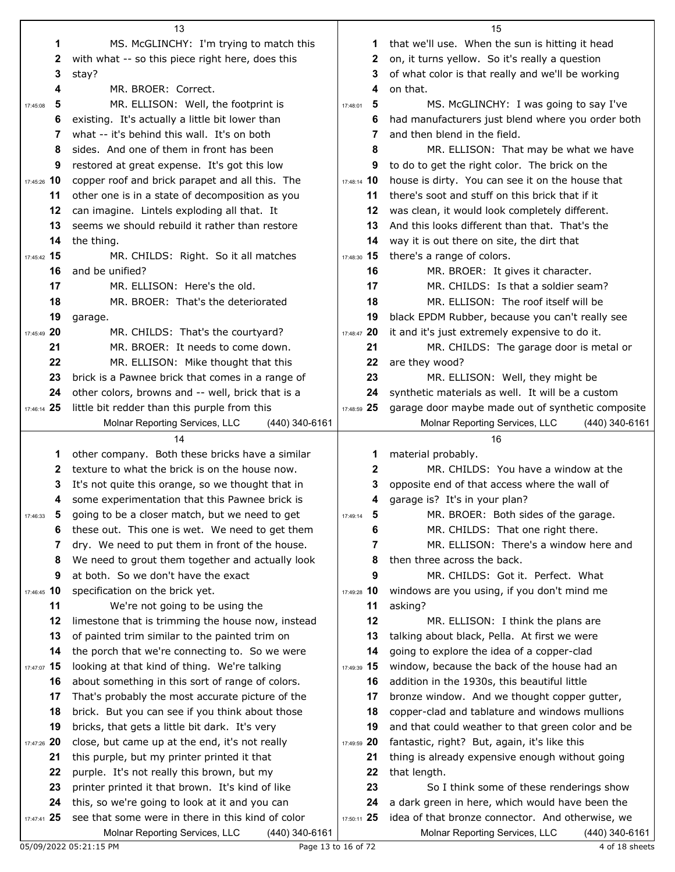|               | 13                                                                                                    |               | 15                                                                                                     |
|---------------|-------------------------------------------------------------------------------------------------------|---------------|--------------------------------------------------------------------------------------------------------|
| 1             | MS. McGLINCHY: I'm trying to match this                                                               | 1             | that we'll use. When the sun is hitting it head                                                        |
| 2             | with what -- so this piece right here, does this                                                      | 2             | on, it turns yellow. So it's really a question                                                         |
| 3             | stay?                                                                                                 | 3             | of what color is that really and we'll be working                                                      |
| 4             | MR. BROER: Correct.                                                                                   | 4             | on that.                                                                                               |
| 5<br>17:45:08 | MR. ELLISON: Well, the footprint is                                                                   | 5<br>17:48:01 | MS. McGLINCHY: I was going to say I've                                                                 |
| 6             | existing. It's actually a little bit lower than                                                       | 6             | had manufacturers just blend where you order both                                                      |
| 7             | what -- it's behind this wall. It's on both                                                           | 7             | and then blend in the field.                                                                           |
| 8             | sides. And one of them in front has been                                                              | 8             | MR. ELLISON: That may be what we have                                                                  |
| 9             | restored at great expense. It's got this low                                                          | 9             | to do to get the right color. The brick on the                                                         |
| 17:45:26 10   | copper roof and brick parapet and all this. The                                                       | 17:48:14 10   | house is dirty. You can see it on the house that                                                       |
| 11            | other one is in a state of decomposition as you                                                       | 11            | there's soot and stuff on this brick that if it                                                        |
| 12            | can imagine. Lintels exploding all that. It                                                           | 12            | was clean, it would look completely different.                                                         |
| 13            | seems we should rebuild it rather than restore                                                        | 13            | And this looks different than that. That's the                                                         |
| 14            | the thing.                                                                                            | 14            | way it is out there on site, the dirt that                                                             |
| 17:45:42 15   | MR. CHILDS: Right. So it all matches                                                                  | 17:48:30 15   | there's a range of colors.                                                                             |
| 16            | and be unified?                                                                                       | 16            | MR. BROER: It gives it character.                                                                      |
| 17            | MR. ELLISON: Here's the old.                                                                          | 17            | MR. CHILDS: Is that a soldier seam?                                                                    |
| 18            | MR. BROER: That's the deteriorated                                                                    | 18            | MR. ELLISON: The roof itself will be                                                                   |
| 19            | garage.                                                                                               | 19            | black EPDM Rubber, because you can't really see                                                        |
| 17:45:49 20   | MR. CHILDS: That's the courtyard?                                                                     | 17:48:47 20   | it and it's just extremely expensive to do it.                                                         |
| 21            | MR. BROER: It needs to come down.                                                                     | 21            | MR. CHILDS: The garage door is metal or                                                                |
| 22            | MR. ELLISON: Mike thought that this                                                                   | 22            | are they wood?                                                                                         |
| 23            | brick is a Pawnee brick that comes in a range of                                                      | 23            | MR. ELLISON: Well, they might be                                                                       |
| 24            | other colors, browns and -- well, brick that is a                                                     | 24            | synthetic materials as well. It will be a custom                                                       |
| 17:46:14 25   | little bit redder than this purple from this                                                          | 17:48:59 25   | garage door maybe made out of synthetic composite                                                      |
|               | Molnar Reporting Services, LLC<br>$(440)$ 340-6161                                                    |               | Molnar Reporting Services, LLC<br>(440) 340-6161                                                       |
|               |                                                                                                       |               |                                                                                                        |
|               | 14                                                                                                    |               | 16                                                                                                     |
| 1             | other company. Both these bricks have a similar                                                       | 1             | material probably.                                                                                     |
| 2             | texture to what the brick is on the house now.                                                        | 2             | MR. CHILDS: You have a window at the                                                                   |
| 3             | It's not quite this orange, so we thought that in                                                     | 3             | opposite end of that access where the wall of                                                          |
| 4             | some experimentation that this Pawnee brick is                                                        | 4             | garage is? It's in your plan?                                                                          |
|               | 5 going to be a closer match, but we need to get                                                      | 5<br>17:49:14 | MR. BROER: Both sides of the garage.                                                                   |
| 6             | these out. This one is wet. We need to get them                                                       | 6             | MR. CHILDS: That one right there.                                                                      |
| 7             | dry. We need to put them in front of the house.                                                       | 7             | MR. ELLISON: There's a window here and                                                                 |
| 8             | We need to grout them together and actually look                                                      | 8             | then three across the back.                                                                            |
| 9             | at both. So we don't have the exact                                                                   | 9             | MR. CHILDS: Got it. Perfect. What                                                                      |
| 17:46:45 10   | specification on the brick yet.                                                                       | 17:49:28 10   | windows are you using, if you don't mind me                                                            |
| 11            | We're not going to be using the                                                                       | 11            | asking?                                                                                                |
| 12            | limestone that is trimming the house now, instead                                                     | 12            | MR. ELLISON: I think the plans are                                                                     |
| 13            | of painted trim similar to the painted trim on                                                        | 13            | talking about black, Pella. At first we were                                                           |
| 14            | the porch that we're connecting to. So we were                                                        | 14            | going to explore the idea of a copper-clad                                                             |
| 17:47:07 15   | looking at that kind of thing. We're talking                                                          | 17:49:39 15   | window, because the back of the house had an                                                           |
| 16            | about something in this sort of range of colors.                                                      | 16            | addition in the 1930s, this beautiful little                                                           |
| 17            | That's probably the most accurate picture of the                                                      | 17            | bronze window. And we thought copper gutter,                                                           |
| 18            | brick. But you can see if you think about those                                                       | 18            | copper-clad and tablature and windows mullions                                                         |
| 19            | bricks, that gets a little bit dark. It's very                                                        | 19            | and that could weather to that green color and be                                                      |
| 17:47:26 20   | close, but came up at the end, it's not really                                                        | 17:49:59 20   | fantastic, right? But, again, it's like this                                                           |
| 21            | this purple, but my printer printed it that                                                           | 21            | thing is already expensive enough without going                                                        |
| 22            | purple. It's not really this brown, but my                                                            | 22            | that length.                                                                                           |
| 23            | printer printed it that brown. It's kind of like                                                      | 23            | So I think some of these renderings show                                                               |
| 24            | this, so we're going to look at it and you can                                                        | 24            | a dark green in here, which would have been the                                                        |
| 17:47:41 25   | see that some were in there in this kind of color<br>Molnar Reporting Services, LLC<br>(440) 340-6161 | 17:50:11 25   | idea of that bronze connector. And otherwise, we<br>Molnar Reporting Services, LLC<br>$(440)$ 340-6161 |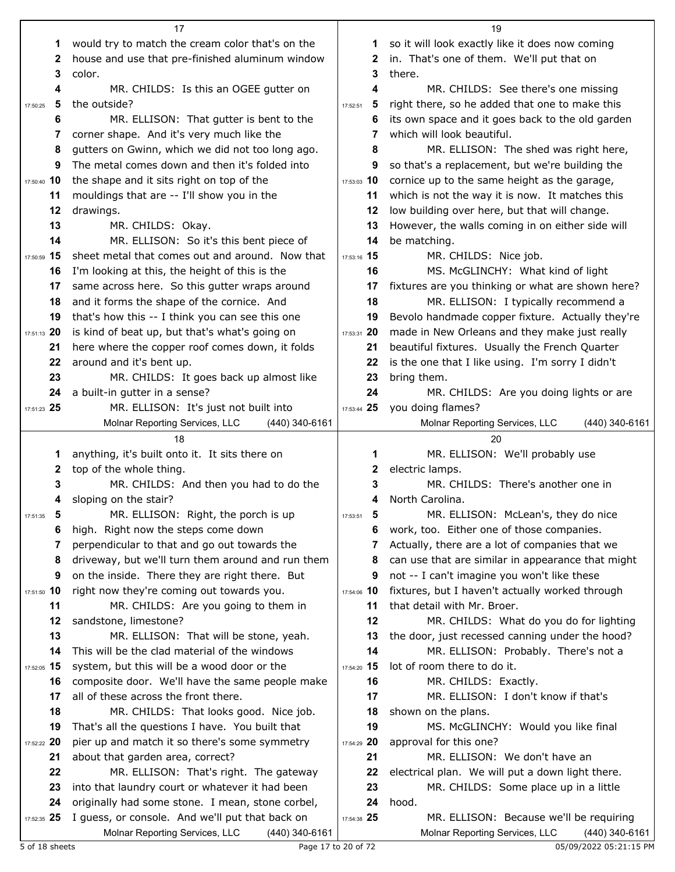|                | 17                                                                                                  |               | 19                                                                                          |
|----------------|-----------------------------------------------------------------------------------------------------|---------------|---------------------------------------------------------------------------------------------|
| 1              | would try to match the cream color that's on the                                                    | 1.            | so it will look exactly like it does now coming                                             |
| 2              | house and use that pre-finished aluminum window                                                     | 2             | in. That's one of them. We'll put that on                                                   |
| 3              | color.                                                                                              | 3             | there.                                                                                      |
| 4              | MR. CHILDS: Is this an OGEE gutter on                                                               | 4             | MR. CHILDS: See there's one missing                                                         |
| 5<br>17:50:25  | the outside?                                                                                        | 5<br>17:52:51 | right there, so he added that one to make this                                              |
| 6              | MR. ELLISON: That gutter is bent to the                                                             | 6             | its own space and it goes back to the old garden                                            |
| 7              | corner shape. And it's very much like the                                                           | 7             | which will look beautiful.                                                                  |
| 8              | gutters on Gwinn, which we did not too long ago.                                                    | 8             | MR. ELLISON: The shed was right here,                                                       |
| 9              | The metal comes down and then it's folded into                                                      | 9             | so that's a replacement, but we're building the                                             |
| 17:50:40 10    | the shape and it sits right on top of the                                                           | 17:53:03 10   | cornice up to the same height as the garage,                                                |
| 11             | mouldings that are -- I'll show you in the                                                          | 11            | which is not the way it is now. It matches this                                             |
| 12             | drawings.                                                                                           | 12            | low building over here, but that will change.                                               |
| 13             | MR. CHILDS: Okay.                                                                                   | 13            | However, the walls coming in on either side will                                            |
| 14             | MR. ELLISON: So it's this bent piece of                                                             | 14            | be matching.                                                                                |
| 17:50:59 15    | sheet metal that comes out and around. Now that                                                     | 17:53:16 15   | MR. CHILDS: Nice job.                                                                       |
| 16             | I'm looking at this, the height of this is the                                                      | 16            | MS. McGLINCHY: What kind of light                                                           |
| 17             | same across here. So this gutter wraps around                                                       | 17            | fixtures are you thinking or what are shown here?                                           |
| 18             | and it forms the shape of the cornice. And                                                          | 18            | MR. ELLISON: I typically recommend a                                                        |
| 19             | that's how this -- I think you can see this one                                                     | 19            | Bevolo handmade copper fixture. Actually they're                                            |
| 17:51:13 20    | is kind of beat up, but that's what's going on                                                      | 17:53:31 20   | made in New Orleans and they make just really                                               |
| 21             | here where the copper roof comes down, it folds                                                     | 21            | beautiful fixtures. Usually the French Quarter                                              |
| 22             | around and it's bent up.                                                                            | 22            | is the one that I like using. I'm sorry I didn't                                            |
| 23             | MR. CHILDS: It goes back up almost like                                                             | 23            | bring them.                                                                                 |
| 24             | a built-in gutter in a sense?                                                                       | 24            | MR. CHILDS: Are you doing lights or are                                                     |
| 17:51:23 25    | MR. ELLISON: It's just not built into                                                               | 17:53:44 25   | you doing flames?                                                                           |
|                | Molnar Reporting Services, LLC<br>(440) 340-6161                                                    |               | Molnar Reporting Services, LLC<br>(440) 340-6161                                            |
|                |                                                                                                     |               |                                                                                             |
|                | 18                                                                                                  |               | 20                                                                                          |
| 1              | anything, it's built onto it. It sits there on                                                      | 1             | MR. ELLISON: We'll probably use                                                             |
| 2              | top of the whole thing.                                                                             | 2             | electric lamps.                                                                             |
| 3              | MR. CHILDS: And then you had to do the                                                              | 3             | MR. CHILDS: There's another one in                                                          |
| 4              | sloping on the stair?                                                                               | 4             | North Carolina.                                                                             |
| -5<br>17:51:35 | MR. ELLISON: Right, the porch is up                                                                 | 17:53:51      | MR. ELLISON: McLean's, they do nice                                                         |
| 6              | high. Right now the steps come down                                                                 | 6             | work, too. Either one of those companies.                                                   |
| 7              | perpendicular to that and go out towards the                                                        |               | Actually, there are a lot of companies that we                                              |
| 8              | driveway, but we'll turn them around and run them                                                   | 8             | can use that are similar in appearance that might                                           |
| 9              | on the inside. There they are right there. But                                                      | 9             | not -- I can't imagine you won't like these                                                 |
| 17:51:50 10    | right now they're coming out towards you.                                                           | 17:54:06 10   | fixtures, but I haven't actually worked through                                             |
| 11             | MR. CHILDS: Are you going to them in                                                                | 11            | that detail with Mr. Broer.                                                                 |
| 12             | sandstone, limestone?                                                                               | 12            | MR. CHILDS: What do you do for lighting                                                     |
| 13             | MR. ELLISON: That will be stone, yeah.                                                              | 13            | the door, just recessed canning under the hood?                                             |
| 14             | This will be the clad material of the windows                                                       | 14            | MR. ELLISON: Probably. There's not a                                                        |
| 17:52:05 15    | system, but this will be a wood door or the                                                         | 17:54:20 15   | lot of room there to do it.                                                                 |
| 16             | composite door. We'll have the same people make                                                     | 16            | MR. CHILDS: Exactly.                                                                        |
| 17             | all of these across the front there.                                                                | 17            | MR. ELLISON: I don't know if that's                                                         |
| 18             | MR. CHILDS: That looks good. Nice job.                                                              | 18            | shown on the plans.                                                                         |
| 19             | That's all the questions I have. You built that                                                     | 19            | MS. McGLINCHY: Would you like final                                                         |
| 17:52:22 20    | pier up and match it so there's some symmetry                                                       | 17:54:29 20   | approval for this one?                                                                      |
| 21             | about that garden area, correct?                                                                    | 21            | MR. ELLISON: We don't have an                                                               |
| 22             | MR. ELLISON: That's right. The gateway                                                              | 22            | electrical plan. We will put a down light there.                                            |
| 23             | into that laundry court or whatever it had been                                                     | 23            | MR. CHILDS: Some place up in a little                                                       |
| 24             | originally had some stone. I mean, stone corbel,                                                    | 24            | hood.                                                                                       |
| 17:52:35 25    | I guess, or console. And we'll put that back on<br>Molnar Reporting Services, LLC<br>(440) 340-6161 | 17:54:38 25   | MR. ELLISON: Because we'll be requiring<br>Molnar Reporting Services, LLC<br>(440) 340-6161 |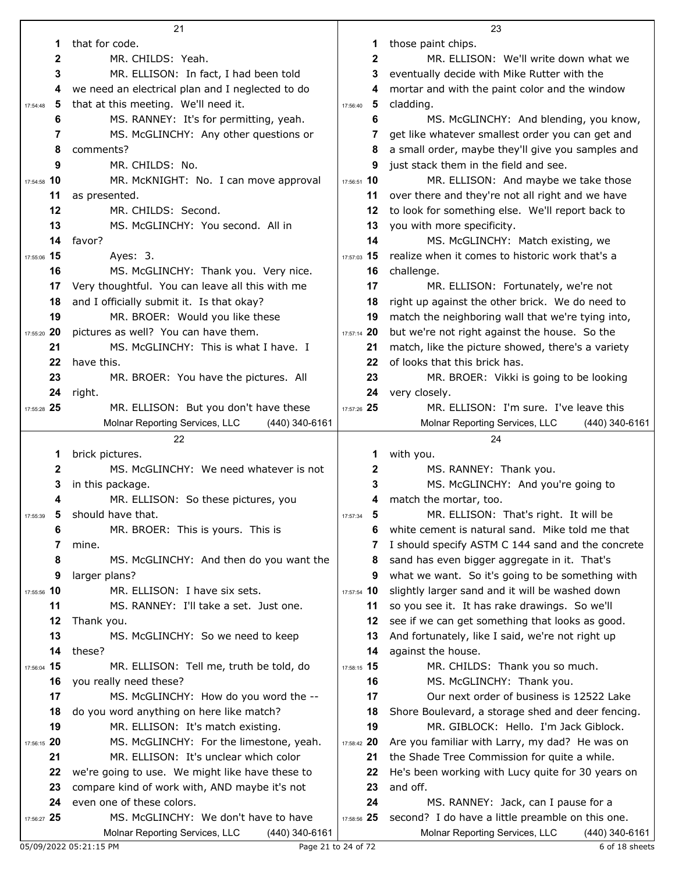|               | 21                                                                                       |               | 23                                                                                                   |
|---------------|------------------------------------------------------------------------------------------|---------------|------------------------------------------------------------------------------------------------------|
| 1             | that for code.                                                                           | 1             | those paint chips.                                                                                   |
| 2             | MR. CHILDS: Yeah.                                                                        | $\mathbf{2}$  | MR. ELLISON: We'll write down what we                                                                |
| 3             | MR. ELLISON: In fact, I had been told                                                    | 3             | eventually decide with Mike Rutter with the                                                          |
| 4             | we need an electrical plan and I neglected to do                                         | 4             | mortar and with the paint color and the window                                                       |
| 5<br>17:54:48 | that at this meeting. We'll need it.                                                     | 5<br>17:56:40 | cladding.                                                                                            |
| 6             | MS. RANNEY: It's for permitting, yeah.                                                   | 6             | MS. McGLINCHY: And blending, you know,                                                               |
| 7             | MS. McGLINCHY: Any other questions or                                                    | 7             | get like whatever smallest order you can get and                                                     |
| 8             | comments?                                                                                | 8             | a small order, maybe they'll give you samples and                                                    |
| 9             | MR. CHILDS: No.                                                                          | 9             | just stack them in the field and see.                                                                |
| 17:54:58 10   | MR. McKNIGHT: No. I can move approval                                                    | 17:56:51 10   | MR. ELLISON: And maybe we take those                                                                 |
|               |                                                                                          |               |                                                                                                      |
| 11            | as presented.                                                                            | 11            | over there and they're not all right and we have                                                     |
| 12            | MR. CHILDS: Second.                                                                      | 12            | to look for something else. We'll report back to                                                     |
| 13            | MS. McGLINCHY: You second. All in                                                        | 13            | you with more specificity.                                                                           |
| 14            | favor?                                                                                   | 14            | MS. McGLINCHY: Match existing, we                                                                    |
| 17:55:06 15   | Ayes: 3.                                                                                 | 17:57:03 15   | realize when it comes to historic work that's a                                                      |
| 16            | MS. McGLINCHY: Thank you. Very nice.                                                     | 16            | challenge.                                                                                           |
| 17            | Very thoughtful. You can leave all this with me                                          | 17            | MR. ELLISON: Fortunately, we're not                                                                  |
| 18            | and I officially submit it. Is that okay?                                                | 18            | right up against the other brick. We do need to                                                      |
| 19            | MR. BROER: Would you like these                                                          | 19            | match the neighboring wall that we're tying into,                                                    |
| 17:55:20 20   | pictures as well? You can have them.                                                     | 17:57:14 20   | but we're not right against the house. So the                                                        |
| 21            | MS. McGLINCHY: This is what I have. I                                                    | 21            | match, like the picture showed, there's a variety                                                    |
| 22            | have this.                                                                               | 22            | of looks that this brick has.                                                                        |
| 23            | MR. BROER: You have the pictures. All                                                    | 23            | MR. BROER: Vikki is going to be looking                                                              |
| 24            | right.                                                                                   | 24            | very closely.                                                                                        |
| 17:55:28 25   | MR. ELLISON: But you don't have these                                                    | 17:57:26 25   | MR. ELLISON: I'm sure. I've leave this                                                               |
|               | Molnar Reporting Services, LLC<br>$(440)$ 340-6161                                       |               | Molnar Reporting Services, LLC<br>(440) 340-6161                                                     |
|               |                                                                                          |               |                                                                                                      |
|               | 22                                                                                       |               | 24                                                                                                   |
| 1             | brick pictures.                                                                          | 1             | with you.                                                                                            |
| 2             | MS. McGLINCHY: We need whatever is not                                                   | 2             | MS. RANNEY: Thank you.                                                                               |
| 3             | in this package.                                                                         | 3             | MS. McGLINCHY: And you're going to                                                                   |
| 4             | MR. ELLISON: So these pictures, you                                                      | 4             | match the mortar, too.                                                                               |
| 17:55:39<br>Ð | should have that.                                                                        | 5<br>17:57:34 | MR. ELLISON: That's right. It will be                                                                |
| 6             | MR. BROER: This is yours. This is                                                        | 6             | white cement is natural sand. Mike told me that                                                      |
| 7             | mine.                                                                                    | 7             | I should specify ASTM C 144 sand and the concrete                                                    |
| 8             | MS. McGLINCHY: And then do you want the                                                  | 8             | sand has even bigger aggregate in it. That's                                                         |
| 9             | larger plans?                                                                            | 9             | what we want. So it's going to be something with                                                     |
| 17:55:56 10   | MR. ELLISON: I have six sets.                                                            | 17:57:54 10   | slightly larger sand and it will be washed down                                                      |
| 11            | MS. RANNEY: I'll take a set. Just one.                                                   | 11            |                                                                                                      |
|               |                                                                                          | 12            | so you see it. It has rake drawings. So we'll                                                        |
| 12            | Thank you.                                                                               | 13            | see if we can get something that looks as good.                                                      |
| 13            | MS. McGLINCHY: So we need to keep                                                        |               | And fortunately, like I said, we're not right up                                                     |
| 14            | these?                                                                                   | 14            | against the house.                                                                                   |
| 17:56:04 15   | MR. ELLISON: Tell me, truth be told, do                                                  | 17:58:15 15   | MR. CHILDS: Thank you so much.                                                                       |
| 16            | you really need these?                                                                   | 16            | MS. McGLINCHY: Thank you.                                                                            |
| 17            | MS. McGLINCHY: How do you word the --                                                    | 17            | Our next order of business is 12522 Lake                                                             |
| 18            | do you word anything on here like match?                                                 | 18            | Shore Boulevard, a storage shed and deer fencing.                                                    |
| 19            | MR. ELLISON: It's match existing.                                                        | 19            | MR. GIBLOCK: Hello. I'm Jack Giblock.                                                                |
| 17:56:15 20   | MS. McGLINCHY: For the limestone, yeah.                                                  | 17:58:42 20   | Are you familiar with Larry, my dad? He was on                                                       |
| 21            | MR. ELLISON: It's unclear which color                                                    | 21            | the Shade Tree Commission for quite a while.                                                         |
| 22            | we're going to use. We might like have these to                                          | 22            | He's been working with Lucy quite for 30 years on                                                    |
| 23            | compare kind of work with, AND maybe it's not                                            | 23            | and off.                                                                                             |
| 24            | even one of these colors.                                                                | 24            | MS. RANNEY: Jack, can I pause for a                                                                  |
| 17:56:27 25   | MS. McGLINCHY: We don't have to have<br>Molnar Reporting Services, LLC<br>(440) 340-6161 | 17:58:56 25   | second? I do have a little preamble on this one.<br>Molnar Reporting Services, LLC<br>(440) 340-6161 |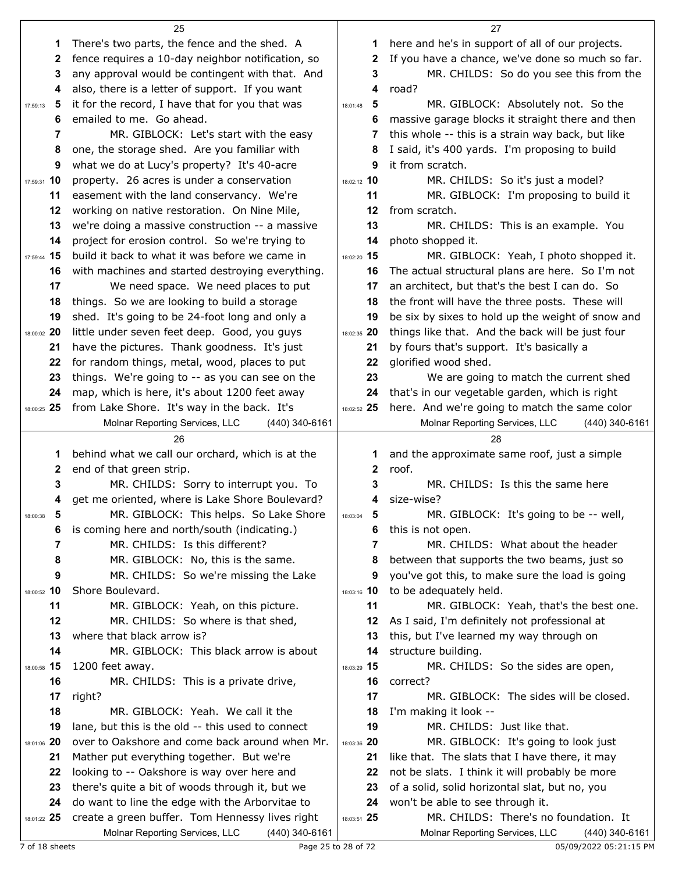|                   | 25                                                                                                  |                                     | 27                                                     |
|-------------------|-----------------------------------------------------------------------------------------------------|-------------------------------------|--------------------------------------------------------|
| 1                 | There's two parts, the fence and the shed. A                                                        | 1                                   | here and he's in support of all of our projects.       |
| 2                 | fence requires a 10-day neighbor notification, so                                                   | 2                                   | If you have a chance, we've done so much so far.       |
| 3                 | any approval would be contingent with that. And                                                     | 3                                   | MR. CHILDS: So do you see this from the                |
| 4                 | also, there is a letter of support. If you want                                                     | 4                                   | road?                                                  |
| 5<br>17:59:13     | it for the record, I have that for you that was                                                     | 5<br>18:01:48                       | MR. GIBLOCK: Absolutely not. So the                    |
| 6                 | emailed to me. Go ahead.                                                                            | 6                                   | massive garage blocks it straight there and then       |
| 7                 | MR. GIBLOCK: Let's start with the easy                                                              | 7                                   | this whole -- this is a strain way back, but like      |
| 8                 | one, the storage shed. Are you familiar with                                                        | 8                                   | I said, it's 400 yards. I'm proposing to build         |
| 9                 | what we do at Lucy's property? It's 40-acre                                                         | 9                                   | it from scratch.                                       |
| 17:59:31 10       | property. 26 acres is under a conservation                                                          | 18:02:12 10                         | MR. CHILDS: So it's just a model?                      |
| 11                | easement with the land conservancy. We're                                                           | 11                                  | MR. GIBLOCK: I'm proposing to build it                 |
| 12                | working on native restoration. On Nine Mile,                                                        | 12                                  | from scratch.                                          |
| 13                | we're doing a massive construction -- a massive                                                     | 13                                  | MR. CHILDS: This is an example. You                    |
| 14                | project for erosion control. So we're trying to                                                     | 14                                  | photo shopped it.                                      |
| 17:59:44 15       | build it back to what it was before we came in                                                      | 18:02:20 15                         | MR. GIBLOCK: Yeah, I photo shopped it.                 |
| 16                | with machines and started destroying everything.                                                    | 16                                  | The actual structural plans are here. So I'm not       |
| 17                | We need space. We need places to put                                                                | 17                                  | an architect, but that's the best I can do. So         |
| 18                | things. So we are looking to build a storage                                                        | 18                                  | the front will have the three posts. These will        |
| 19                | shed. It's going to be 24-foot long and only a                                                      | 19                                  | be six by sixes to hold up the weight of snow and      |
| 18:00:02 20       | little under seven feet deep. Good, you guys                                                        | 18:02:35 20                         | things like that. And the back will be just four       |
| 21                | have the pictures. Thank goodness. It's just                                                        | 21                                  | by fours that's support. It's basically a              |
| 22                | for random things, metal, wood, places to put                                                       | 22                                  | glorified wood shed.                                   |
| 23                | things. We're going to -- as you can see on the                                                     | 23                                  | We are going to match the current shed                 |
| 24                | map, which is here, it's about 1200 feet away                                                       | 24                                  | that's in our vegetable garden, which is right         |
| 18:00:25 25       | from Lake Shore. It's way in the back. It's                                                         | 18:02:52 25                         | here. And we're going to match the same color          |
|                   | Molnar Reporting Services, LLC<br>(440) 340-6161<br>26                                              |                                     | Molnar Reporting Services, LLC<br>(440) 340-6161<br>28 |
| 1                 | behind what we call our orchard, which is at the                                                    | 1                                   | and the approximate same roof, just a simple           |
| 2                 | end of that green strip.                                                                            | 2                                   | roof.                                                  |
| 3                 | MR. CHILDS: Sorry to interrupt you. To                                                              | З                                   | MR. CHILDS: Is this the same here                      |
| 4                 | get me oriented, where is Lake Shore Boulevard?                                                     | 4                                   | size-wise?                                             |
| 5<br>18:00:38     | MR. GIBLOCK: This helps. So Lake Shore                                                              | $\overline{\mathbf{5}}$<br>18:03:04 | MR. GIBLOCK: It's going to be -- well,                 |
| 6                 | is coming here and north/south (indicating.)                                                        | 6                                   | this is not open.                                      |
| 7                 | MR. CHILDS: Is this different?                                                                      | 7                                   | MR. CHILDS: What about the header                      |
| 8                 | MR. GIBLOCK: No, this is the same.                                                                  | 8                                   | between that supports the two beams, just so           |
| 9                 | MR. CHILDS: So we're missing the Lake                                                               | 9                                   | you've got this, to make sure the load is going        |
| 18:00:52 10       | Shore Boulevard.                                                                                    | 18:03:16 10                         | to be adequately held.                                 |
| 11                | MR. GIBLOCK: Yeah, on this picture.                                                                 | 11                                  | MR. GIBLOCK: Yeah, that's the best one.                |
| 12                | MR. CHILDS: So where is that shed,                                                                  | 12                                  | As I said, I'm definitely not professional at          |
| 13                | where that black arrow is?                                                                          | 13                                  | this, but I've learned my way through on               |
| 14                | MR. GIBLOCK: This black arrow is about                                                              | 14                                  | structure building.                                    |
| 18:00:58 15       | 1200 feet away.                                                                                     | 18:03:29 15                         | MR. CHILDS: So the sides are open,                     |
| 16                | MR. CHILDS: This is a private drive,                                                                | 16                                  | correct?                                               |
| 17                | right?                                                                                              | 17                                  | MR. GIBLOCK: The sides will be closed.                 |
| 18<br>19          | MR. GIBLOCK: Yeah. We call it the                                                                   | 18<br>19                            | I'm making it look --<br>MR. CHILDS: Just like that.   |
|                   | lane, but this is the old -- this used to connect<br>over to Oakshore and come back around when Mr. | 18:03:36 20                         | MR. GIBLOCK: It's going to look just                   |
| 18:01:06 20<br>21 | Mather put everything together. But we're                                                           | 21                                  | like that. The slats that I have there, it may         |
| 22                | looking to -- Oakshore is way over here and                                                         | 22                                  | not be slats. I think it will probably be more         |
| 23                | there's quite a bit of woods through it, but we                                                     | 23                                  | of a solid, solid horizontal slat, but no, you         |
| 24                | do want to line the edge with the Arborvitae to                                                     | 24                                  | won't be able to see through it.                       |
| 18:01:22 25       | create a green buffer. Tom Hennessy lives right                                                     | 18:03:51 25                         | MR. CHILDS: There's no foundation. It                  |
|                   | Molnar Reporting Services, LLC<br>(440) 340-6161                                                    |                                     | Molnar Reporting Services, LLC<br>(440) 340-6161       |
| 7 of 18 sheets    |                                                                                                     | Page 25 to 28 of 72                 | 05/09/2022 05:21:15 PM                                 |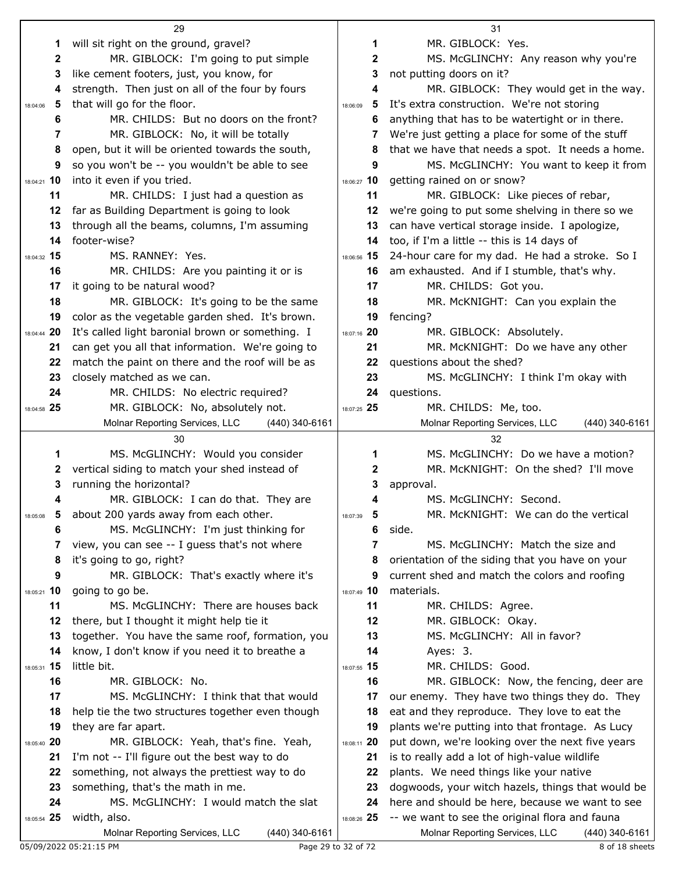|                                | 29                                                     |                     | 31                                                                 |
|--------------------------------|--------------------------------------------------------|---------------------|--------------------------------------------------------------------|
| 1                              | will sit right on the ground, gravel?                  | 1                   | MR. GIBLOCK: Yes.                                                  |
| $\mathbf{2}$                   | MR. GIBLOCK: I'm going to put simple                   | $\mathbf{2}$        | MS. McGLINCHY: Any reason why you're                               |
| 3                              | like cement footers, just, you know, for               | 3                   | not putting doors on it?                                           |
| 4                              | strength. Then just on all of the four by fours        | 4                   | MR. GIBLOCK: They would get in the way.                            |
| 5<br>18:04:06                  | that will go for the floor.                            | 5<br>18:06:09       | It's extra construction. We're not storing                         |
| 6                              | MR. CHILDS: But no doors on the front?                 | 6                   | anything that has to be watertight or in there.                    |
| 7                              | MR. GIBLOCK: No, it will be totally                    | 7                   | We're just getting a place for some of the stuff                   |
| 8                              | open, but it will be oriented towards the south,       | 8                   | that we have that needs a spot. It needs a home.                   |
| 9                              | so you won't be -- you wouldn't be able to see         | 9                   | MS. McGLINCHY: You want to keep it from                            |
| 18:04:21 10                    | into it even if you tried.                             | 18:06:27 10         | getting rained on or snow?                                         |
| 11                             | MR. CHILDS: I just had a question as                   | 11                  | MR. GIBLOCK: Like pieces of rebar,                                 |
| 12                             | far as Building Department is going to look            | 12                  | we're going to put some shelving in there so we                    |
| 13                             | through all the beams, columns, I'm assuming           | 13                  | can have vertical storage inside. I apologize,                     |
| footer-wise?<br>14             |                                                        | 14                  | too, if I'm a little -- this is 14 days of                         |
| 18:04:32 15                    | MS, RANNEY: Yes.                                       | 18:06:56 15         | 24-hour care for my dad. He had a stroke. So I                     |
| 16                             | MR. CHILDS: Are you painting it or is                  | 16                  | am exhausted. And if I stumble, that's why.                        |
| 17                             | it going to be natural wood?                           | 17                  | MR. CHILDS: Got you.                                               |
| 18                             | MR. GIBLOCK: It's going to be the same                 | 18                  | MR. McKNIGHT: Can you explain the                                  |
| 19                             | color as the vegetable garden shed. It's brown.        | 19                  | fencing?                                                           |
| 18:04:44 20                    | It's called light baronial brown or something. I       | 18:07:16 20         | MR. GIBLOCK: Absolutely.                                           |
| 21                             | can get you all that information. We're going to       | 21                  | MR. McKNIGHT: Do we have any other                                 |
| 22                             | match the paint on there and the roof will be as       | 22                  | questions about the shed?                                          |
| 23                             | closely matched as we can.                             | 23                  | MS. McGLINCHY: I think I'm okay with                               |
| 24                             | MR. CHILDS: No electric required?                      | 24                  | questions.                                                         |
| 18:04:58 25                    | MR. GIBLOCK: No, absolutely not.                       | 18:07:25 25         | MR. CHILDS: Me, too.                                               |
|                                | Molnar Reporting Services, LLC<br>(440) 340-6161<br>30 |                     | Molnar Reporting Services, LLC<br>(440) 340-6161<br>32             |
| 1                              | MS. McGLINCHY: Would you consider                      | 1                   | MS. McGLINCHY: Do we have a motion?                                |
| 2                              | vertical siding to match your shed instead of          | 2                   | MR. McKNIGHT: On the shed? I'll move                               |
| 3                              | running the horizontal?                                | 3                   | approval.                                                          |
|                                | MR. GIBLOCK: I can do that. They are                   | 4                   | MS. McGLINCHY: Second.                                             |
| 18:05:08                       | about 200 yards away from each other.                  | 18:07:39            | MR. McKNIGHT: We can do the vertical                               |
| 6                              | MS. McGLINCHY: I'm just thinking for                   | 6                   | side.                                                              |
| 7                              | view, you can see -- I guess that's not where          | 7                   | MS. McGLINCHY: Match the size and                                  |
| 8                              | it's going to go, right?                               | 8                   | orientation of the siding that you have on your                    |
| 9                              | MR. GIBLOCK: That's exactly where it's                 | 9                   | current shed and match the colors and roofing                      |
| 18:05:21 10<br>going to go be. |                                                        | 18:07:49 10         | materials.                                                         |
| 11                             | MS. McGLINCHY: There are houses back                   | 11                  | MR. CHILDS: Agree.                                                 |
| 12                             | there, but I thought it might help tie it              | 12                  | MR. GIBLOCK: Okay.                                                 |
| 13                             | together. You have the same roof, formation, you       | 13                  | MS. McGLINCHY: All in favor?                                       |
| 14                             | know, I don't know if you need it to breathe a         | 14                  | Ayes: 3.                                                           |
| little bit.<br>18:05:31 15     |                                                        | 18:07:55 15         | MR. CHILDS: Good.                                                  |
| 16                             | MR. GIBLOCK: No.                                       | 16                  | MR. GIBLOCK: Now, the fencing, deer are                            |
| 17                             | MS. McGLINCHY: I think that that would                 | 17                  | our enemy. They have two things they do. They                      |
| 18                             | help tie the two structures together even though       | 18                  | eat and they reproduce. They love to eat the                       |
| 19<br>they are far apart.      |                                                        | 19                  | plants we're putting into that frontage. As Lucy                   |
| 18:05:40 20                    | MR. GIBLOCK: Yeah, that's fine. Yeah,                  | 20<br>18:08:11      | put down, we're looking over the next five years                   |
| 21                             | I'm not -- I'll figure out the best way to do          | 21                  | is to really add a lot of high-value wildlife                      |
| 22                             | something, not always the prettiest way to do          | 22                  | plants. We need things like your native                            |
| 23                             | something, that's the math in me.                      | 23                  | dogwoods, your witch hazels, things that would be                  |
| 24                             | MS. McGLINCHY: I would match the slat                  | 24                  | here and should be here, because we want to see                    |
| 18:05:54 25<br>width, also.    |                                                        | 18:08:26 25         | -- we want to see the original flora and fauna                     |
| 05/09/2022 05:21:15 PM         | (440) 340-6161<br>Molnar Reporting Services, LLC       | Page 29 to 32 of 72 | Molnar Reporting Services, LLC<br>(440) 340-6161<br>8 of 18 sheets |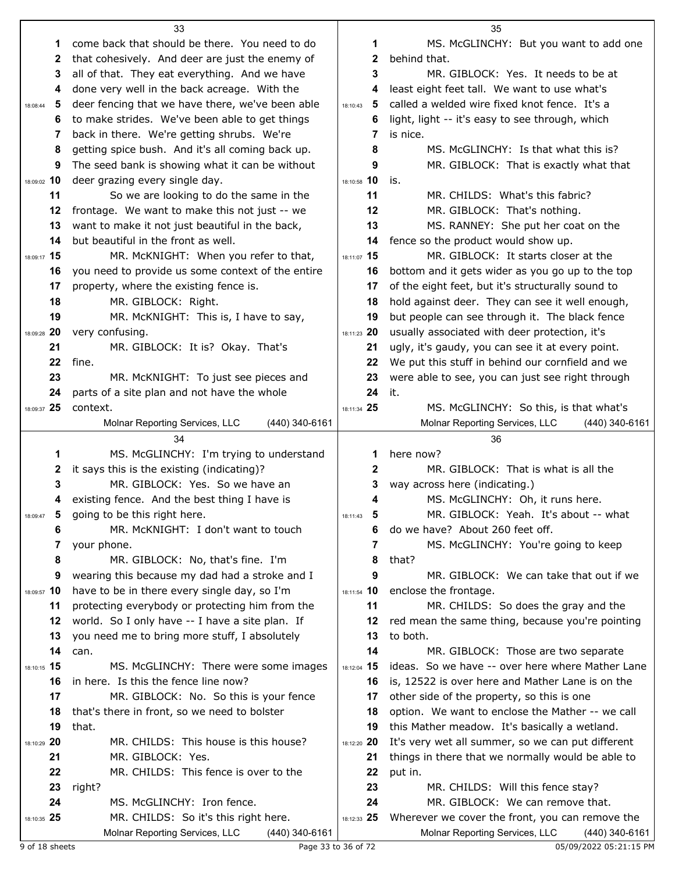|                   | 33                                                    |                   | 35                                                                                                |
|-------------------|-------------------------------------------------------|-------------------|---------------------------------------------------------------------------------------------------|
| 1                 | come back that should be there. You need to do        | 1                 | MS. McGLINCHY: But you want to add one                                                            |
| 2                 | that cohesively. And deer are just the enemy of       | $\mathbf{2}$      | behind that.                                                                                      |
| 3                 | all of that. They eat everything. And we have         | 3                 | MR. GIBLOCK: Yes. It needs to be at                                                               |
| 4                 | done very well in the back acreage. With the          | 4                 | least eight feet tall. We want to use what's                                                      |
| 5<br>18:08:44     | deer fencing that we have there, we've been able      | - 5<br>18:10:43   | called a welded wire fixed knot fence. It's a                                                     |
| 6                 | to make strides. We've been able to get things        | 6                 | light, light -- it's easy to see through, which                                                   |
| 7                 | back in there. We're getting shrubs. We're            | 7                 | is nice.                                                                                          |
| 8                 | getting spice bush. And it's all coming back up.      | 8                 | MS. McGLINCHY: Is that what this is?                                                              |
| 9                 | The seed bank is showing what it can be without       | 9                 | MR. GIBLOCK: That is exactly what that                                                            |
| 18:09:02 10       | deer grazing every single day.                        | 18:10:58 10       | is.                                                                                               |
| 11                | So we are looking to do the same in the               | 11                | MR. CHILDS: What's this fabric?                                                                   |
| 12                | frontage. We want to make this not just -- we         | 12                | MR. GIBLOCK: That's nothing.                                                                      |
| 13                | want to make it not just beautiful in the back,       | 13                | MS. RANNEY: She put her coat on the                                                               |
| 14                | but beautiful in the front as well.                   | 14                | fence so the product would show up.                                                               |
| 18:09:17 15       | MR. McKNIGHT: When you refer to that,                 | 18:11:07 15       | MR. GIBLOCK: It starts closer at the                                                              |
| 16                | you need to provide us some context of the entire     | 16                | bottom and it gets wider as you go up to the top                                                  |
| 17                | property, where the existing fence is.                | 17                | of the eight feet, but it's structurally sound to                                                 |
| 18                | MR. GIBLOCK: Right.                                   | 18                | hold against deer. They can see it well enough,                                                   |
| 19                | MR. McKNIGHT: This is, I have to say,                 | 19                | but people can see through it. The black fence                                                    |
| 18:09:28 20       | very confusing.                                       | 18:11:23 20       | usually associated with deer protection, it's                                                     |
| 21                | MR. GIBLOCK: It is? Okay. That's                      | 21                | ugly, it's gaudy, you can see it at every point.                                                  |
| 22                | fine.                                                 | 22                | We put this stuff in behind our cornfield and we                                                  |
| 23                | MR. McKNIGHT: To just see pieces and                  | 23                | were able to see, you can just see right through                                                  |
| 24                | parts of a site plan and not have the whole           | 24                | it.                                                                                               |
| 18:09:37 25       | context.                                              | 18:11:34 25       | MS. McGLINCHY: So this, is that what's                                                            |
|                   | (440) 340-6161<br>Molnar Reporting Services, LLC      |                   | Molnar Reporting Services, LLC<br>(440) 340-6161                                                  |
|                   |                                                       |                   |                                                                                                   |
|                   | 34                                                    |                   | 36                                                                                                |
| 1                 | MS. McGLINCHY: I'm trying to understand               | 1                 | here now?                                                                                         |
| 2                 | it says this is the existing (indicating)?            | $\mathbf 2$       | MR. GIBLOCK: That is what is all the                                                              |
| 3                 | MR. GIBLOCK: Yes. So we have an                       | 3                 | way across here (indicating.)                                                                     |
| 4                 | existing fence. And the best thing I have is          | 4                 | MS. McGLINCHY: Oh, it runs here.                                                                  |
| 18:09:47          | going to be this right here.                          | 18:11:43          | MR. GIBLOCK: Yeah. It's about -- what                                                             |
| 6                 | MR. McKNIGHT: I don't want to touch                   | 6                 | do we have? About 260 feet off.                                                                   |
| 7                 | your phone.                                           | 7                 | MS. McGLINCHY: You're going to keep                                                               |
| 8                 | MR. GIBLOCK: No, that's fine. I'm                     | 8                 | that?                                                                                             |
| 9                 | wearing this because my dad had a stroke and I        | 9                 | MR. GIBLOCK: We can take that out if we                                                           |
| 18:09:57 10       | have to be in there every single day, so I'm          | 18:11:54 10       | enclose the frontage.                                                                             |
| 11                | protecting everybody or protecting him from the       | 11                | MR. CHILDS: So does the gray and the                                                              |
| 12                | world. So I only have -- I have a site plan. If       | 12                | red mean the same thing, because you're pointing                                                  |
| 13                | you need me to bring more stuff, I absolutely         | 13                | to both.                                                                                          |
| 14                | can.                                                  | 14                | MR. GIBLOCK: Those are two separate                                                               |
| 18:10:15 15<br>16 | MS. McGLINCHY: There were some images                 | 18:12:04 15<br>16 | ideas. So we have -- over here where Mather Lane                                                  |
| 17                | in here. Is this the fence line now?                  | 17                | is, 12522 is over here and Mather Lane is on the                                                  |
| 18                | MR. GIBLOCK: No. So this is your fence                | 18                | other side of the property, so this is one                                                        |
| 19                | that's there in front, so we need to bolster<br>that. | 19                | option. We want to enclose the Mather -- we call<br>this Mather meadow. It's basically a wetland. |
| 18:10:29 20       | MR. CHILDS: This house is this house?                 | 18:12:20 20       | It's very wet all summer, so we can put different                                                 |
| 21                | MR. GIBLOCK: Yes.                                     | 21                | things in there that we normally would be able to                                                 |
| 22                | MR. CHILDS: This fence is over to the                 | 22                | put in.                                                                                           |
| 23                | right?                                                | 23                | MR. CHILDS: Will this fence stay?                                                                 |
| 24                | MS. McGLINCHY: Iron fence.                            | 24                | MR. GIBLOCK: We can remove that.                                                                  |
| 18:10:35 25       | MR. CHILDS: So it's this right here.                  | 18:12:33 25       | Wherever we cover the front, you can remove the                                                   |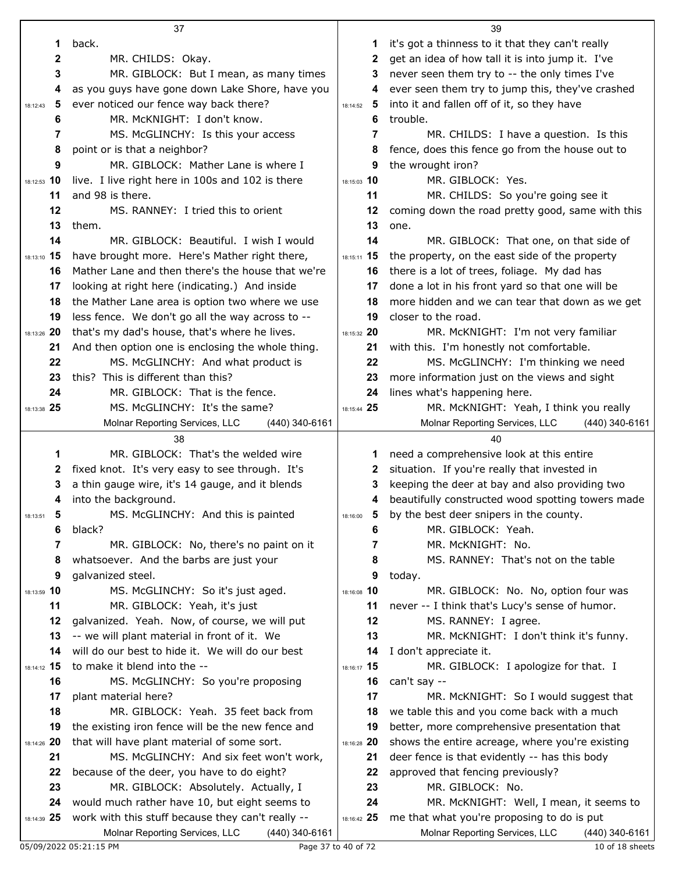|               | 37                                                                                                 |                 | 39                                                                                    |
|---------------|----------------------------------------------------------------------------------------------------|-----------------|---------------------------------------------------------------------------------------|
| 1             | back.                                                                                              | 1               | it's got a thinness to it that they can't really                                      |
| $\mathbf 2$   | MR. CHILDS: Okay.                                                                                  | 2               | get an idea of how tall it is into jump it. I've                                      |
| 3             | MR. GIBLOCK: But I mean, as many times                                                             | 3               | never seen them try to -- the only times I've                                         |
| 4             | as you guys have gone down Lake Shore, have you                                                    | 4               | ever seen them try to jump this, they've crashed                                      |
| 5<br>18:12:43 | ever noticed our fence way back there?                                                             | - 5<br>18:14:52 | into it and fallen off of it, so they have                                            |
| 6             | MR. McKNIGHT: I don't know.                                                                        | 6               | trouble.                                                                              |
| 7             | MS. McGLINCHY: Is this your access                                                                 | 7               | MR. CHILDS: I have a question. Is this                                                |
| 8             | point or is that a neighbor?                                                                       | 8               | fence, does this fence go from the house out to                                       |
| 9             | MR. GIBLOCK: Mather Lane is where I                                                                | 9               | the wrought iron?                                                                     |
| 18:12:53 10   | live. I live right here in 100s and 102 is there                                                   | 18:15:03 10     | MR. GIBLOCK: Yes.                                                                     |
| 11            | and 98 is there.                                                                                   | 11              | MR. CHILDS: So you're going see it                                                    |
| 12            | MS. RANNEY: I tried this to orient                                                                 | 12              | coming down the road pretty good, same with this                                      |
| 13            | them.                                                                                              | 13              | one.                                                                                  |
| 14            | MR. GIBLOCK: Beautiful. I wish I would                                                             | 14              | MR. GIBLOCK: That one, on that side of                                                |
| 18:13:10 15   | have brought more. Here's Mather right there,                                                      | 18:15:11 15     | the property, on the east side of the property                                        |
| 16            | Mather Lane and then there's the house that we're                                                  | 16              | there is a lot of trees, foliage. My dad has                                          |
| 17            | looking at right here (indicating.) And inside                                                     | 17              | done a lot in his front yard so that one will be                                      |
| 18            | the Mather Lane area is option two where we use                                                    | 18              | more hidden and we can tear that down as we get                                       |
| 19            | less fence. We don't go all the way across to --                                                   | 19              | closer to the road.                                                                   |
| 18:13:26 20   | that's my dad's house, that's where he lives.                                                      | 18:15:32 20     | MR. McKNIGHT: I'm not very familiar                                                   |
| 21            | And then option one is enclosing the whole thing.                                                  | 21              | with this. I'm honestly not comfortable.                                              |
| 22            | MS. McGLINCHY: And what product is                                                                 | 22              | MS. McGLINCHY: I'm thinking we need                                                   |
| 23            | this? This is different than this?                                                                 | 23              | more information just on the views and sight                                          |
| 24            | MR. GIBLOCK: That is the fence.                                                                    | 24              | lines what's happening here.                                                          |
| 18:13:38 25   | MS. McGLINCHY: It's the same?                                                                      | 18:15:44 25     | MR. McKNIGHT: Yeah, I think you really                                                |
|               | Molnar Reporting Services, LLC<br>$(440)$ 340-6161                                                 |                 | Molnar Reporting Services, LLC<br>(440) 340-6161                                      |
|               |                                                                                                    |                 |                                                                                       |
|               | 38                                                                                                 |                 | 40                                                                                    |
| 1             | MR. GIBLOCK: That's the welded wire                                                                | 1               | need a comprehensive look at this entire                                              |
| 2             | fixed knot. It's very easy to see through. It's                                                    | 2               | situation. If you're really that invested in                                          |
| 3             | a thin gauge wire, it's 14 gauge, and it blends                                                    | 3               | keeping the deer at bay and also providing two                                        |
| 4             | into the background.                                                                               | 4               | beautifully constructed wood spotting towers made                                     |
| 5<br>18:13:51 | MS. McGLINCHY: And this is painted                                                                 | 5<br>18:16:00   | by the best deer snipers in the county.                                               |
| 6             | black?                                                                                             | 6               | MR. GIBLOCK: Yeah.                                                                    |
| 7             | MR. GIBLOCK: No, there's no paint on it                                                            | 7               | MR. McKNIGHT: No.                                                                     |
| 8             | whatsoever. And the barbs are just your                                                            | 8               | MS. RANNEY: That's not on the table                                                   |
| 9             | galvanized steel.                                                                                  | 9               | today.                                                                                |
| 18:13:59 10   | MS. McGLINCHY: So it's just aged.                                                                  | 18:16:08 10     | MR. GIBLOCK: No. No, option four was                                                  |
| 11            | MR. GIBLOCK: Yeah, it's just                                                                       | 11              | never -- I think that's Lucy's sense of humor.                                        |
| 12            | galvanized. Yeah. Now, of course, we will put                                                      | 12              | MS. RANNEY: I agree.                                                                  |
| 13            | -- we will plant material in front of it. We                                                       | 13              | MR. McKNIGHT: I don't think it's funny.                                               |
| 14            | will do our best to hide it. We will do our best                                                   | 14              | I don't appreciate it.                                                                |
| 18:14:12 15   | to make it blend into the --                                                                       | 18:16:17 15     | MR. GIBLOCK: I apologize for that. I                                                  |
| 16            | MS. McGLINCHY: So you're proposing                                                                 | 16              | can't say --                                                                          |
| 17            | plant material here?                                                                               | 17              | MR. McKNIGHT: So I would suggest that                                                 |
| 18            | MR. GIBLOCK: Yeah. 35 feet back from                                                               | 18              | we table this and you come back with a much                                           |
| 19            | the existing iron fence will be the new fence and                                                  | 19              | better, more comprehensive presentation that                                          |
| 18:14:26 20   | that will have plant material of some sort.                                                        | 18:16:28 20     | shows the entire acreage, where you're existing                                       |
| 21            | MS. McGLINCHY: And six feet won't work,                                                            | 21              | deer fence is that evidently -- has this body                                         |
| 22            | because of the deer, you have to do eight?                                                         | 22<br>23        | approved that fencing previously?                                                     |
| 23<br>24      | MR. GIBLOCK: Absolutely. Actually, I                                                               | 24              | MR. GIBLOCK: No.                                                                      |
| 18:14:39 25   | would much rather have 10, but eight seems to<br>work with this stuff because they can't really -- | 18:16:42 25     | MR. McKNIGHT: Well, I mean, it seems to<br>me that what you're proposing to do is put |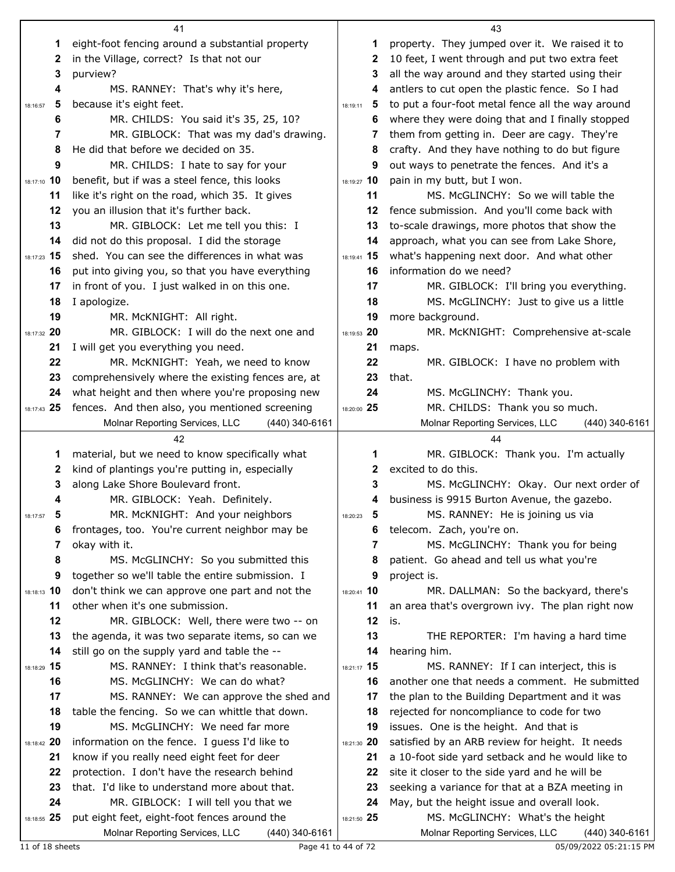|               | 41                                                                                            |               | 43                                                                                   |
|---------------|-----------------------------------------------------------------------------------------------|---------------|--------------------------------------------------------------------------------------|
| 1             | eight-foot fencing around a substantial property                                              | 1             | property. They jumped over it. We raised it to                                       |
| 2             | in the Village, correct? Is that not our                                                      | 2             | 10 feet, I went through and put two extra feet                                       |
| 3             | purview?                                                                                      | 3             | all the way around and they started using their                                      |
| 4             | MS. RANNEY: That's why it's here,                                                             | 4             | antlers to cut open the plastic fence. So I had                                      |
| 5<br>18:16:57 | because it's eight feet.                                                                      | 5<br>18:19:11 | to put a four-foot metal fence all the way around                                    |
| 6             | MR. CHILDS: You said it's 35, 25, 10?                                                         | 6             | where they were doing that and I finally stopped                                     |
| 7             | MR. GIBLOCK: That was my dad's drawing.                                                       | 7             | them from getting in. Deer are cagy. They're                                         |
| 8             | He did that before we decided on 35.                                                          | 8             | crafty. And they have nothing to do but figure                                       |
| 9             | MR. CHILDS: I hate to say for your                                                            | 9             | out ways to penetrate the fences. And it's a                                         |
| 18:17:10 10   | benefit, but if was a steel fence, this looks                                                 | 18:19:27 10   | pain in my butt, but I won.                                                          |
| 11            | like it's right on the road, which 35. It gives                                               | 11            | MS. McGLINCHY: So we will table the                                                  |
| 12            | you an illusion that it's further back.                                                       | 12            | fence submission. And you'll come back with                                          |
| 13            | MR. GIBLOCK: Let me tell you this: I                                                          | 13            | to-scale drawings, more photos that show the                                         |
| 14            | did not do this proposal. I did the storage                                                   | 14            | approach, what you can see from Lake Shore,                                          |
| 18:17:23 15   | shed. You can see the differences in what was                                                 | 18:19:41 15   | what's happening next door. And what other                                           |
| 16            | put into giving you, so that you have everything                                              | 16            | information do we need?                                                              |
| 17            | in front of you. I just walked in on this one.                                                | 17            | MR. GIBLOCK: I'll bring you everything.                                              |
| 18            | I apologize.                                                                                  | 18            | MS. McGLINCHY: Just to give us a little                                              |
| 19            | MR. McKNIGHT: All right.                                                                      | 19            | more background.                                                                     |
| 18:17:32 20   | MR. GIBLOCK: I will do the next one and                                                       | 18:19:53 20   | MR. McKNIGHT: Comprehensive at-scale                                                 |
| 21            | I will get you everything you need.                                                           | 21            | maps.                                                                                |
| 22            | MR. McKNIGHT: Yeah, we need to know                                                           | 22            | MR. GIBLOCK: I have no problem with                                                  |
| 23            | comprehensively where the existing fences are, at                                             | 23            | that.                                                                                |
| 24            | what height and then where you're proposing new                                               | 24            | MS. McGLINCHY: Thank you.                                                            |
| 18:17:43 25   | fences. And then also, you mentioned screening                                                | 18:20:00 25   | MR. CHILDS: Thank you so much.                                                       |
|               | Molnar Reporting Services, LLC<br>(440) 340-6161                                              |               | Molnar Reporting Services, LLC<br>(440) 340-6161                                     |
|               |                                                                                               |               |                                                                                      |
|               |                                                                                               |               |                                                                                      |
|               | 42                                                                                            |               | 44                                                                                   |
| 1             | material, but we need to know specifically what                                               | 1             | MR. GIBLOCK: Thank you. I'm actually                                                 |
| 2             | kind of plantings you're putting in, especially                                               | 2             | excited to do this.                                                                  |
| 3             | along Lake Shore Boulevard front.                                                             | 3             | MS. McGLINCHY: Okay. Our next order of                                               |
| 4             | MR. GIBLOCK: Yeah. Definitely.                                                                | 4             | business is 9915 Burton Avenue, the gazebo.                                          |
| 5<br>18:17:57 | MR. McKNIGHT: And your neighbors                                                              | 5<br>18:20:23 | MS. RANNEY: He is joining us via                                                     |
| 6             | frontages, too. You're current neighbor may be                                                | 6             | telecom. Zach, you're on.                                                            |
| 7             | okay with it.                                                                                 | 7             | MS. McGLINCHY: Thank you for being                                                   |
| 8             | MS. McGLINCHY: So you submitted this                                                          | 8             | patient. Go ahead and tell us what you're                                            |
| 9             | together so we'll table the entire submission. I                                              | 9             | project is.                                                                          |
| 18:18:13 10   | don't think we can approve one part and not the                                               | 18:20:41 10   | MR. DALLMAN: So the backyard, there's                                                |
| 11            | other when it's one submission.                                                               | 11            | an area that's overgrown ivy. The plan right now                                     |
| 12            | MR. GIBLOCK: Well, there were two -- on                                                       | 12            | is.                                                                                  |
| 13            | the agenda, it was two separate items, so can we                                              | 13            | THE REPORTER: I'm having a hard time                                                 |
| 14            | still go on the supply yard and table the --                                                  | 14            | hearing him.                                                                         |
| 18:18:29 15   | MS. RANNEY: I think that's reasonable.                                                        | 18:21:17 15   | MS. RANNEY: If I can interject, this is                                              |
| 16            | MS. McGLINCHY: We can do what?                                                                | 16            | another one that needs a comment. He submitted                                       |
| 17            | MS. RANNEY: We can approve the shed and                                                       | 17            | the plan to the Building Department and it was                                       |
| 18            | table the fencing. So we can whittle that down.                                               | 18            | rejected for noncompliance to code for two                                           |
| 19            | MS. McGLINCHY: We need far more                                                               | 19            | issues. One is the height. And that is                                               |
| 18:18:42 20   | information on the fence. I guess I'd like to                                                 | 18:21:30 20   | satisfied by an ARB review for height. It needs                                      |
| 21            | know if you really need eight feet for deer                                                   | 21            | a 10-foot side yard setback and he would like to                                     |
| 22            | protection. I don't have the research behind                                                  | 22            | site it closer to the side yard and he will be                                       |
| 23            | that. I'd like to understand more about that.                                                 | 23            | seeking a variance for that at a BZA meeting in                                      |
| 24            | MR. GIBLOCK: I will tell you that we                                                          | 24            | May, but the height issue and overall look.                                          |
| 18:18:55 25   | put eight feet, eight-foot fences around the<br>Molnar Reporting Services, LLC (440) 340-6161 | 18:21:50 25   | MS. McGLINCHY: What's the height<br>Molnar Reporting Services, LLC<br>(440) 340-6161 |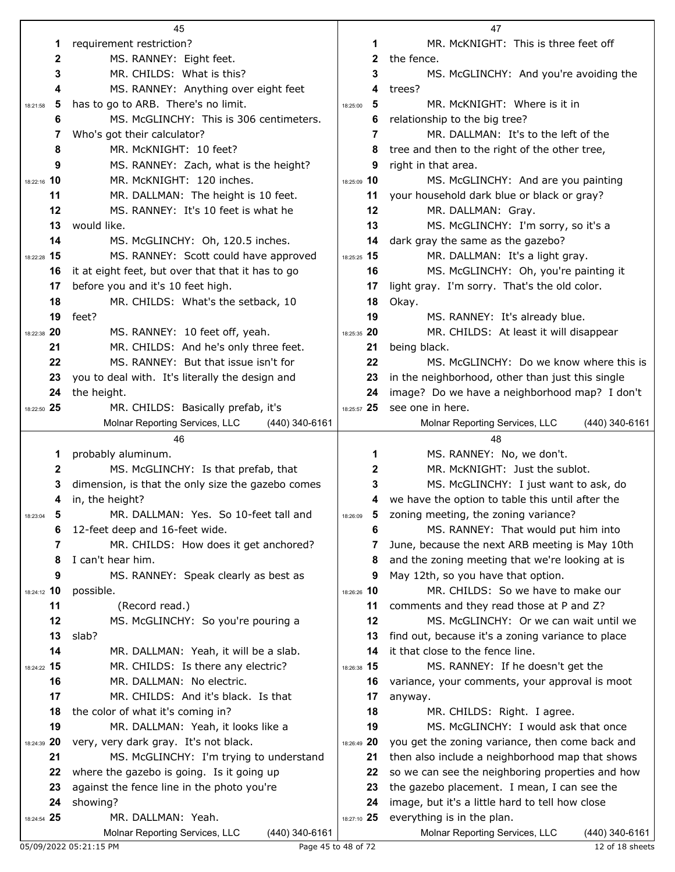|               | 45                                                |               | 47                                                |
|---------------|---------------------------------------------------|---------------|---------------------------------------------------|
| 1             | requirement restriction?                          | 1             | MR. McKNIGHT: This is three feet off              |
| $\mathbf 2$   | MS. RANNEY: Eight feet.                           | $\mathbf{2}$  | the fence.                                        |
| 3             | MR. CHILDS: What is this?                         | 3             | MS. McGLINCHY: And you're avoiding the            |
| 4             | MS. RANNEY: Anything over eight feet              | 4             | trees?                                            |
| 5<br>18:21:58 | has to go to ARB. There's no limit.               | 5<br>18:25:00 | MR. McKNIGHT: Where is it in                      |
| 6             | MS. McGLINCHY: This is 306 centimeters.           | 6             | relationship to the big tree?                     |
| 7             | Who's got their calculator?                       | 7             | MR. DALLMAN: It's to the left of the              |
| 8             | MR. McKNIGHT: 10 feet?                            | 8             | tree and then to the right of the other tree,     |
| 9             | MS. RANNEY: Zach, what is the height?             | 9             | right in that area.                               |
| 18:22:16 10   | MR. McKNIGHT: 120 inches.                         | 18:25:09 10   | MS. McGLINCHY: And are you painting               |
| 11            | MR. DALLMAN: The height is 10 feet.               | 11            | your household dark blue or black or gray?        |
| 12            | MS. RANNEY: It's 10 feet is what he               | 12            | MR. DALLMAN: Gray.                                |
| 13            | would like.                                       | 13            | MS. McGLINCHY: I'm sorry, so it's a               |
| 14            | MS. McGLINCHY: Oh, 120.5 inches.                  | 14            | dark gray the same as the gazebo?                 |
| 18:22:28 15   | MS. RANNEY: Scott could have approved             | 18:25:25 15   | MR. DALLMAN: It's a light gray.                   |
|               |                                                   |               |                                                   |
| 16            | it at eight feet, but over that that it has to go | 16            | MS. McGLINCHY: Oh, you're painting it             |
| 17            | before you and it's 10 feet high.                 | 17            | light gray. I'm sorry. That's the old color.      |
| 18            | MR. CHILDS: What's the setback, 10                | 18            | Okay.                                             |
| 19            | feet?                                             | 19            | MS. RANNEY: It's already blue.                    |
| 18:22:38 20   | MS. RANNEY: 10 feet off, yeah.                    | 18:25:35 20   | MR. CHILDS: At least it will disappear            |
| 21            | MR. CHILDS: And he's only three feet.             | 21            | being black.                                      |
| 22            | MS, RANNEY: But that issue isn't for              | 22            | MS. McGLINCHY: Do we know where this is           |
| 23            | you to deal with. It's literally the design and   | 23            | in the neighborhood, other than just this single  |
| 24            | the height.                                       | 24            | image? Do we have a neighborhood map? I don't     |
| 18:22:50 25   | MR. CHILDS: Basically prefab, it's                | 18:25:57 25   | see one in here.                                  |
|               | Molnar Reporting Services, LLC<br>(440) 340-6161  |               | Molnar Reporting Services, LLC<br>(440) 340-6161  |
|               |                                                   |               |                                                   |
|               | 46                                                |               | 48                                                |
| 1             | probably aluminum.                                | 1             | MS. RANNEY: No, we don't.                         |
| $\mathbf{2}$  | MS. McGLINCHY: Is that prefab, that               | 2             | MR. McKNIGHT: Just the sublot.                    |
| 3             | dimension, is that the only size the gazebo comes | 3             | MS. McGLINCHY: I just want to ask, do             |
| 4             | in, the height?                                   | 4             | we have the option to table this until after the  |
| 18:23:04      | MR. DALLMAN: Yes. So 10-feet tall and             | 18:26:09      | zoning meeting, the zoning variance?              |
| 6             | 12-feet deep and 16-feet wide.                    | 6             | MS. RANNEY: That would put him into               |
| 7             | MR. CHILDS: How does it get anchored?             | 7             | June, because the next ARB meeting is May 10th    |
| 8             | I can't hear him.                                 | 8             | and the zoning meeting that we're looking at is   |
| 9             | MS. RANNEY: Speak clearly as best as              | 9             | May 12th, so you have that option.                |
| 18:24:12 10   | possible.                                         | 18:26:26 10   | MR. CHILDS: So we have to make our                |
| 11            | (Record read.)                                    | 11            | comments and they read those at P and Z?          |
| 12            | MS. McGLINCHY: So you're pouring a                | 12            | MS. McGLINCHY: Or we can wait until we            |
| 13            | slab?                                             | 13            | find out, because it's a zoning variance to place |
| 14            | MR. DALLMAN: Yeah, it will be a slab.             | 14            | it that close to the fence line.                  |
| 18:24:22 15   | MR. CHILDS: Is there any electric?                | 18:26:38 15   | MS. RANNEY: If he doesn't get the                 |
| 16            | MR. DALLMAN: No electric.                         | 16            | variance, your comments, your approval is moot    |
| 17            | MR. CHILDS: And it's black. Is that               | 17            | anyway.                                           |
| 18            | the color of what it's coming in?                 | 18            | MR. CHILDS: Right. I agree.                       |
| 19            | MR. DALLMAN: Yeah, it looks like a                | 19            | MS. McGLINCHY: I would ask that once              |
| 18:24:39 20   | very, very dark gray. It's not black.             | 18:26:49 20   | you get the zoning variance, then come back and   |
| 21            | MS. McGLINCHY: I'm trying to understand           | 21            | then also include a neighborhood map that shows   |
| 22            | where the gazebo is going. Is it going up         | 22            | so we can see the neighboring properties and how  |
| 23            | against the fence line in the photo you're        | 23            | the gazebo placement. I mean, I can see the       |
| 24            | showing?                                          | 24            | image, but it's a little hard to tell how close   |
| 18:24:54 25   | MR. DALLMAN: Yeah.                                | 18:27:10 25   | everything is in the plan.                        |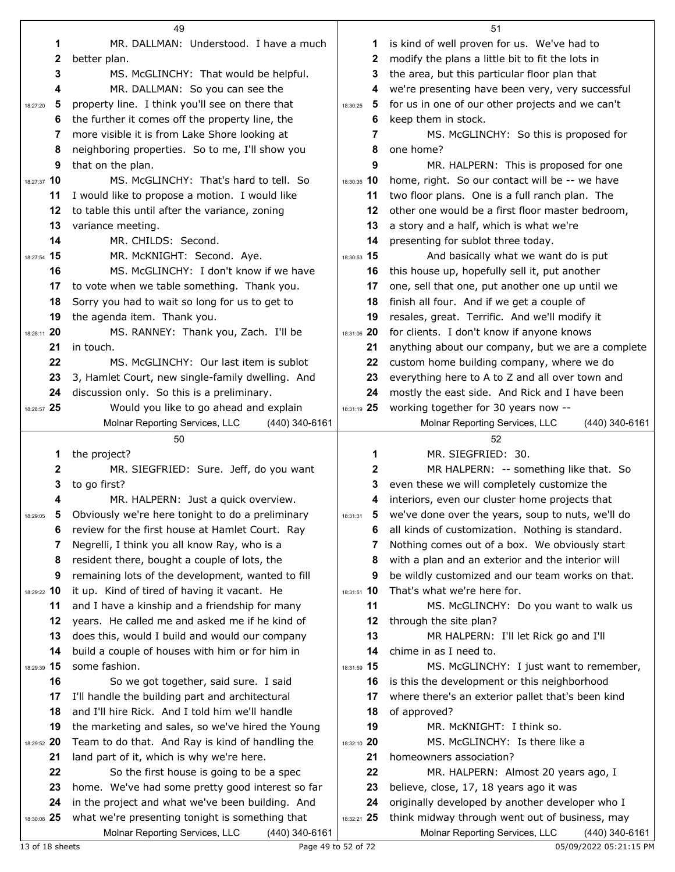|               | 49                                                 |               | 51                                                |
|---------------|----------------------------------------------------|---------------|---------------------------------------------------|
| 1             | MR. DALLMAN: Understood. I have a much             | 1.            | is kind of well proven for us. We've had to       |
| 2             | better plan.                                       | 2             | modify the plans a little bit to fit the lots in  |
| 3             | MS. McGLINCHY: That would be helpful.              | 3             | the area, but this particular floor plan that     |
| 4             | MR. DALLMAN: So you can see the                    | 4             | we're presenting have been very, very successful  |
| 5<br>18:27:20 | property line. I think you'll see on there that    | 5<br>18:30:25 | for us in one of our other projects and we can't  |
| 6             | the further it comes off the property line, the    | 6             | keep them in stock.                               |
| 7             | more visible it is from Lake Shore looking at      | 7             | MS. McGLINCHY: So this is proposed for            |
| 8             | neighboring properties. So to me, I'll show you    | 8             | one home?                                         |
| 9             | that on the plan.                                  | 9             | MR. HALPERN: This is proposed for one             |
| 18:27:37 10   | MS. McGLINCHY: That's hard to tell. So             | 18:30:35 10   | home, right. So our contact will be -- we have    |
| 11            | I would like to propose a motion. I would like     | 11            | two floor plans. One is a full ranch plan. The    |
| 12            | to table this until after the variance, zoning     | 12            | other one would be a first floor master bedroom,  |
| 13            | variance meeting.                                  | 13            | a story and a half, which is what we're           |
| 14            | MR. CHILDS: Second.                                | 14            | presenting for sublot three today.                |
| 18:27:54 15   | MR. McKNIGHT: Second. Aye.                         | 18:30:53 15   | And basically what we want do is put              |
| 16            | MS. McGLINCHY: I don't know if we have             | 16            | this house up, hopefully sell it, put another     |
| 17            | to vote when we table something. Thank you.        | 17            | one, sell that one, put another one up until we   |
| 18            | Sorry you had to wait so long for us to get to     | 18            | finish all four. And if we get a couple of        |
| 19            | the agenda item. Thank you.                        | 19            | resales, great. Terrific. And we'll modify it     |
| 18:28:11 20   | MS. RANNEY: Thank you, Zach. I'll be               | 18:31:06 20   | for clients. I don't know if anyone knows         |
| 21            | in touch.                                          | 21            | anything about our company, but we are a complete |
| 22            | MS. McGLINCHY: Our last item is sublot             | 22            | custom home building company, where we do         |
| 23            | 3, Hamlet Court, new single-family dwelling. And   | 23            | everything here to A to Z and all over town and   |
| 24            | discussion only. So this is a preliminary.         | 24            | mostly the east side. And Rick and I have been    |
| 18:28:57 25   | Would you like to go ahead and explain             | 18:31:19 25   | working together for 30 years now --              |
|               | Molnar Reporting Services, LLC<br>$(440)$ 340-6161 |               | Molnar Reporting Services, LLC<br>(440) 340-6161  |
|               |                                                    |               |                                                   |
|               | 50                                                 |               | 52                                                |
| 1             | the project?                                       | 1             | MR. SIEGFRIED: 30.                                |
| 2             | MR. SIEGFRIED: Sure. Jeff, do you want             | 2             | MR HALPERN: -- something like that. So            |
| 3             | to go first?                                       | 3             | even these we will completely customize the       |
| 4             | MR. HALPERN: Just a quick overview.                | 4             | interiors, even our cluster home projects that    |
| 18:29:05      | Obviously we're here tonight to do a preliminary   | $18:31:31$ 5  | we've done over the years, soup to nuts, we'll do |
| 6             | review for the first house at Hamlet Court. Ray    | 6             | all kinds of customization. Nothing is standard.  |
| 7             | Negrelli, I think you all know Ray, who is a       | 7             | Nothing comes out of a box. We obviously start    |
| 8             | resident there, bought a couple of lots, the       | 8             | with a plan and an exterior and the interior will |
| 9             | remaining lots of the development, wanted to fill  | 9             | be wildly customized and our team works on that.  |
| 18:29:22 10   | it up. Kind of tired of having it vacant. He       | 18:31:51 10   | That's what we're here for.                       |
| 11            | and I have a kinship and a friendship for many     | 11            | MS. McGLINCHY: Do you want to walk us             |
| 12            | years. He called me and asked me if he kind of     | 12            | through the site plan?                            |
| 13            | does this, would I build and would our company     | 13            | MR HALPERN: I'll let Rick go and I'll             |
| 14            | build a couple of houses with him or for him in    | 14            | chime in as I need to.                            |
| 18:29:39 15   | some fashion.                                      | 18:31:59 15   | MS. McGLINCHY: I just want to remember,           |
| 16            | So we got together, said sure. I said              | 16            | is this the development or this neighborhood      |
| 17            | I'll handle the building part and architectural    | 17            | where there's an exterior pallet that's been kind |
| 18            | and I'll hire Rick. And I told him we'll handle    | 18            | of approved?                                      |
| 19            | the marketing and sales, so we've hired the Young  | 19            | MR. McKNIGHT: I think so.                         |
| 18:29:52 20   | Team to do that. And Ray is kind of handling the   | 18:32:10 20   | MS. McGLINCHY: Is there like a                    |
| 21            | land part of it, which is why we're here.          | 21            | homeowners association?                           |
| 22            | So the first house is going to be a spec           | 22            | MR. HALPERN: Almost 20 years ago, I               |
| 23            | home. We've had some pretty good interest so far   | 23            | believe, close, 17, 18 years ago it was           |
| 24            | in the project and what we've been building. And   | 24            | originally developed by another developer who I   |
| 18:30:08 25   | what we're presenting tonight is something that    | 18:32:21 25   | think midway through went out of business, may    |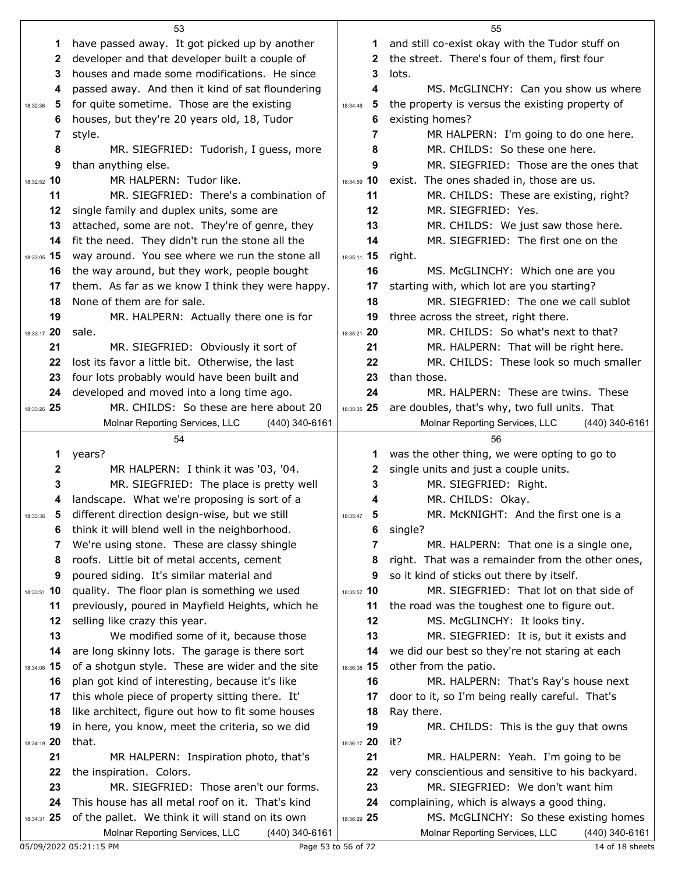|               | 53                                                                                                   |                   | 55                                                                                         |
|---------------|------------------------------------------------------------------------------------------------------|-------------------|--------------------------------------------------------------------------------------------|
| 1             | have passed away. It got picked up by another                                                        | 1                 | and still co-exist okay with the Tudor stuff on                                            |
| 2             | developer and that developer built a couple of                                                       | 2                 | the street. There's four of them, first four                                               |
| 3             | houses and made some modifications. He since                                                         | 3                 | lots.                                                                                      |
| 4             | passed away. And then it kind of sat floundering                                                     | 4                 | MS. McGLINCHY: Can you show us where                                                       |
| 5<br>18:32:36 | for quite sometime. Those are the existing                                                           | 5<br>18:34:46     | the property is versus the existing property of                                            |
| 6             | houses, but they're 20 years old, 18, Tudor                                                          | 6                 | existing homes?                                                                            |
| 7             | style.                                                                                               | 7                 | MR HALPERN: I'm going to do one here.                                                      |
| 8             | MR. SIEGFRIED: Tudorish, I guess, more                                                               | 8                 | MR. CHILDS: So these one here.                                                             |
| 9             | than anything else.                                                                                  | 9                 | MR. SIEGFRIED: Those are the ones that                                                     |
| 18:32:52 10   | MR HALPERN: Tudor like.                                                                              | 18:34:59 10       | exist. The ones shaded in, those are us.                                                   |
| 11            | MR. SIEGFRIED: There's a combination of                                                              | 11                | MR. CHILDS: These are existing, right?                                                     |
| 12            | single family and duplex units, some are                                                             | 12                | MR. SIEGFRIED: Yes.                                                                        |
| 13            | attached, some are not. They're of genre, they                                                       | 13                | MR. CHILDS: We just saw those here.                                                        |
| 14            | fit the need. They didn't run the stone all the                                                      | 14                | MR. SIEGFRIED: The first one on the                                                        |
| 18:33:05 15   | way around. You see where we run the stone all                                                       | 18:35:11 15       | right.                                                                                     |
| 16            | the way around, but they work, people bought                                                         | 16                | MS. McGLINCHY: Which one are you                                                           |
| 17            | them. As far as we know I think they were happy.                                                     | 17                | starting with, which lot are you starting?                                                 |
| 18            | None of them are for sale.                                                                           | 18                | MR. SIEGFRIED: The one we call sublot                                                      |
| 19            | MR. HALPERN: Actually there one is for                                                               | 19                | three across the street, right there.                                                      |
| 18:33:17 20   | sale.                                                                                                | 18:35:21 20       | MR. CHILDS: So what's next to that?                                                        |
| 21            | MR. SIEGFRIED: Obviously it sort of                                                                  | 21                | MR. HALPERN: That will be right here.                                                      |
| 22            | lost its favor a little bit. Otherwise, the last                                                     | 22                | MR. CHILDS: These look so much smaller                                                     |
| 23            | four lots probably would have been built and                                                         | 23                | than those.                                                                                |
| 24            | developed and moved into a long time ago.                                                            | 24                | MR. HALPERN: These are twins. These                                                        |
| 18:33:26 25   | MR. CHILDS: So these are here about 20                                                               | 18:35:35 25       | are doubles, that's why, two full units. That                                              |
|               | Molnar Reporting Services, LLC<br>(440) 340-6161                                                     |                   | Molnar Reporting Services, LLC<br>(440) 340-6161                                           |
|               | 54                                                                                                   |                   | 56                                                                                         |
| 1             | years?                                                                                               | 1                 | was the other thing, we were opting to go to                                               |
| 2             | MR HALPERN: I think it was '03, '04.                                                                 | $\mathbf{2}$      | single units and just a couple units.                                                      |
| 3             | MR. SIEGFRIED: The place is pretty well                                                              | 3                 | MR. SIEGFRIED: Right.                                                                      |
| 4             | landscape. What we're proposing is sort of a                                                         |                   | MR. CHILDS: Okay.                                                                          |
| 5<br>18:33:36 | different direction design-wise, but we still                                                        | 18:35:47          | MR. McKNIGHT: And the first one is a                                                       |
|               |                                                                                                      |                   |                                                                                            |
|               |                                                                                                      |                   |                                                                                            |
| 6             | think it will blend well in the neighborhood.                                                        | 6                 | single?                                                                                    |
| 7             | We're using stone. These are classy shingle                                                          | 7                 | MR. HALPERN: That one is a single one,                                                     |
| 8             | roofs. Little bit of metal accents, cement                                                           | 8<br>9            | right. That was a remainder from the other ones,                                           |
| 9             | poured siding. It's similar material and                                                             |                   | so it kind of sticks out there by itself.                                                  |
| 18:33:51 10   | quality. The floor plan is something we used                                                         | 18:35:57 10       | MR. SIEGFRIED: That lot on that side of                                                    |
| 11            | previously, poured in Mayfield Heights, which he                                                     | 11<br>12          | the road was the toughest one to figure out.                                               |
| 12            | selling like crazy this year.                                                                        | 13                | MS. McGLINCHY: It looks tiny.                                                              |
| 13            | We modified some of it, because those                                                                |                   | MR. SIEGFRIED: It is, but it exists and                                                    |
| 14            | are long skinny lots. The garage is there sort                                                       | 14                | we did our best so they're not staring at each                                             |
| 18:34:06 15   | of a shotgun style. These are wider and the site                                                     | 18:36:08 15<br>16 | other from the patio.                                                                      |
| 16            | plan got kind of interesting, because it's like                                                      | 17                | MR. HALPERN: That's Ray's house next                                                       |
| 17            | this whole piece of property sitting there. It'                                                      |                   | door to it, so I'm being really careful. That's                                            |
| 18<br>19      | like architect, figure out how to fit some houses                                                    | 18<br>19          | Ray there.                                                                                 |
|               | in here, you know, meet the criteria, so we did                                                      |                   | MR. CHILDS: This is the guy that owns<br>it?                                               |
| 18:34:19 20   | that.                                                                                                | 18:36:17 20       |                                                                                            |
| 21            | MR HALPERN: Inspiration photo, that's                                                                | 21                | MR. HALPERN: Yeah. I'm going to be                                                         |
| 22            | the inspiration. Colors.                                                                             | 22                | very conscientious and sensitive to his backyard.                                          |
| 23            | MR. SIEGFRIED: Those aren't our forms.                                                               | 23                | MR. SIEGFRIED: We don't want him                                                           |
| 24            | This house has all metal roof on it. That's kind                                                     | 24                | complaining, which is always a good thing.                                                 |
| 18:34:31 25   | of the pallet. We think it will stand on its own<br>Molnar Reporting Services, LLC<br>(440) 340-6161 | 18:36:29 25       | MS. McGLINCHY: So these existing homes<br>Molnar Reporting Services, LLC<br>(440) 340-6161 |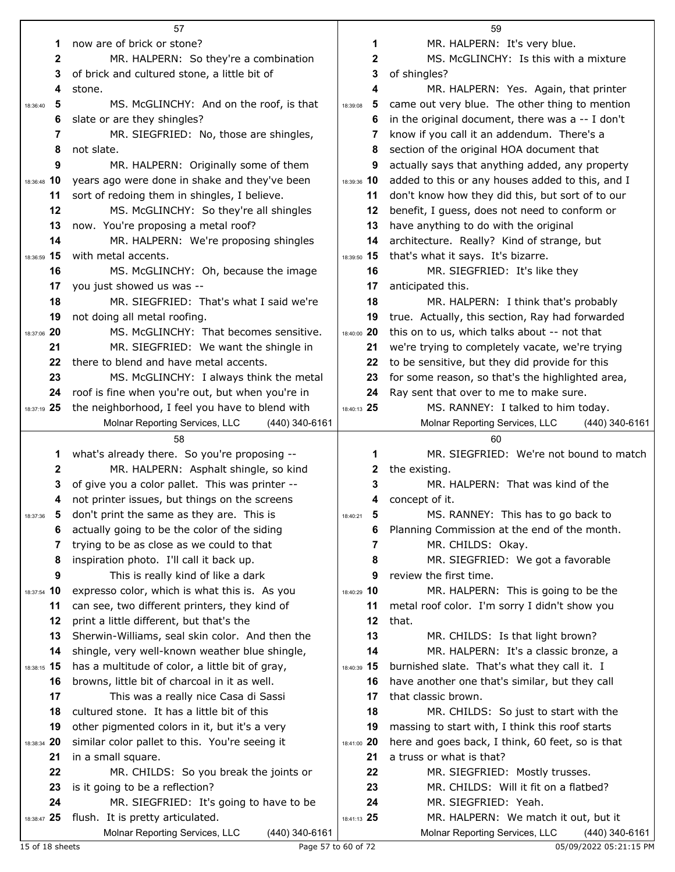|                  | 57                                                                                   |                                  | 59                                                                                       |
|------------------|--------------------------------------------------------------------------------------|----------------------------------|------------------------------------------------------------------------------------------|
| 1                | now are of brick or stone?                                                           | 1                                | MR. HALPERN: It's very blue.                                                             |
| $\boldsymbol{2}$ | MR. HALPERN: So they're a combination                                                | $\mathbf{2}$                     | MS. McGLINCHY: Is this with a mixture                                                    |
| 3                | of brick and cultured stone, a little bit of                                         | 3                                | of shingles?                                                                             |
| 4                | stone.                                                                               | 4                                | MR. HALPERN: Yes. Again, that printer                                                    |
| 5<br>18:36:40    | MS. McGLINCHY: And on the roof, is that                                              | 5<br>18:39:08                    | came out very blue. The other thing to mention                                           |
| 6                | slate or are they shingles?                                                          | 6                                | in the original document, there was $a - I$ don't                                        |
| 7                | MR. SIEGFRIED: No, those are shingles,                                               | 7                                | know if you call it an addendum. There's a                                               |
| 8                | not slate.                                                                           | 8                                | section of the original HOA document that                                                |
| 9                | MR. HALPERN: Originally some of them                                                 | 9                                | actually says that anything added, any property                                          |
| 18:36:48 10      | years ago were done in shake and they've been                                        | 18:39:36 10                      | added to this or any houses added to this, and I                                         |
| 11               | sort of redoing them in shingles, I believe.                                         | 11                               | don't know how they did this, but sort of to our                                         |
| 12               | MS. McGLINCHY: So they're all shingles                                               | 12                               | benefit, I guess, does not need to conform or                                            |
| 13               | now. You're proposing a metal roof?                                                  | 13                               | have anything to do with the original                                                    |
| 14               | MR. HALPERN: We're proposing shingles                                                | 14                               | architecture. Really? Kind of strange, but                                               |
| 18:36:59 15      | with metal accents.                                                                  | 18:39:50 15                      | that's what it says. It's bizarre.                                                       |
| 16               | MS. McGLINCHY: Oh, because the image                                                 | 16                               | MR. SIEGFRIED: It's like they                                                            |
| 17               | you just showed us was --                                                            | 17                               | anticipated this.                                                                        |
| 18               | MR. SIEGFRIED: That's what I said we're                                              | 18                               | MR. HALPERN: I think that's probably                                                     |
| 19               | not doing all metal roofing.                                                         | 19                               | true. Actually, this section, Ray had forwarded                                          |
| 18:37:06 20      | MS. McGLINCHY: That becomes sensitive.                                               | 18:40:00 20                      | this on to us, which talks about -- not that                                             |
| 21               | MR. SIEGFRIED: We want the shingle in                                                | 21                               | we're trying to completely vacate, we're trying                                          |
| 22               | there to blend and have metal accents.                                               | 22                               | to be sensitive, but they did provide for this                                           |
| 23               | MS. McGLINCHY: I always think the metal                                              | 23                               | for some reason, so that's the highlighted area,                                         |
| 24               | roof is fine when you're out, but when you're in                                     | 24                               | Ray sent that over to me to make sure.                                                   |
| 18:37:19 25      | the neighborhood, I feel you have to blend with                                      | 18:40:13 25                      | MS. RANNEY: I talked to him today.                                                       |
|                  | Molnar Reporting Services, LLC<br>$(440)$ 340-6161                                   |                                  | Molnar Reporting Services, LLC<br>$(440)$ 340-6161                                       |
|                  | 58                                                                                   |                                  | 60                                                                                       |
|                  |                                                                                      |                                  |                                                                                          |
| 1                | what's already there. So you're proposing --                                         | 1                                | MR. SIEGFRIED: We're not bound to match                                                  |
| 2                | MR. HALPERN: Asphalt shingle, so kind                                                | 2                                | the existing.                                                                            |
| 3                | of give you a color pallet. This was printer --                                      | 3                                | MR. HALPERN: That was kind of the                                                        |
| 4                | not printer issues, but things on the screens                                        | 4                                | concept of it.                                                                           |
| -5<br>18:37:36   | don't print the same as they are. This is                                            | 18:40:21<br>$\ddot{\phantom{0}}$ | MS. RANNEY: This has to go back to                                                       |
| 6                | actually going to be the color of the siding                                         | 6                                | Planning Commission at the end of the month.                                             |
| 7                | trying to be as close as we could to that                                            | 7                                | MR. CHILDS: Okay.                                                                        |
| 8                | inspiration photo. I'll call it back up.                                             | 8                                | MR. SIEGFRIED: We got a favorable                                                        |
| 9                | This is really kind of like a dark                                                   | 9                                | review the first time.                                                                   |
| 18:37:54 10      | expresso color, which is what this is. As you                                        | 18:40:29 10                      | MR. HALPERN: This is going to be the                                                     |
| 11               | can see, two different printers, they kind of                                        | 11                               | metal roof color. I'm sorry I didn't show you                                            |
| 12               | print a little different, but that's the                                             | 12                               | that.                                                                                    |
| 13               | Sherwin-Williams, seal skin color. And then the                                      | 13                               | MR. CHILDS: Is that light brown?                                                         |
| 14               | shingle, very well-known weather blue shingle,                                       | 14                               | MR. HALPERN: It's a classic bronze, a                                                    |
| 18:38:15 15      | has a multitude of color, a little bit of gray,                                      | 18:40:39 15                      | burnished slate. That's what they call it. I                                             |
| 16               | browns, little bit of charcoal in it as well.                                        | 16                               | have another one that's similar, but they call                                           |
| 17               | This was a really nice Casa di Sassi                                                 | 17                               | that classic brown.                                                                      |
| 18               | cultured stone. It has a little bit of this                                          | 18                               | MR. CHILDS: So just to start with the                                                    |
| 19               | other pigmented colors in it, but it's a very                                        | 19                               | massing to start with, I think this roof starts                                          |
| 18:38:34 20      | similar color pallet to this. You're seeing it                                       | 18:41:00 20                      | here and goes back, I think, 60 feet, so is that                                         |
| 21               | in a small square.                                                                   | 21                               | a truss or what is that?                                                                 |
| 22               | MR. CHILDS: So you break the joints or                                               | 22                               | MR. SIEGFRIED: Mostly trusses.                                                           |
| 23               | is it going to be a reflection?                                                      | 23                               | MR. CHILDS: Will it fit on a flatbed?                                                    |
| 24               | MR. SIEGFRIED: It's going to have to be                                              | 24                               | MR. SIEGFRIED: Yeah.                                                                     |
| 18:38:47 25      | flush. It is pretty articulated.<br>Molnar Reporting Services, LLC<br>(440) 340-6161 | 18:41:13 25                      | MR. HALPERN: We match it out, but it<br>Molnar Reporting Services, LLC<br>(440) 340-6161 |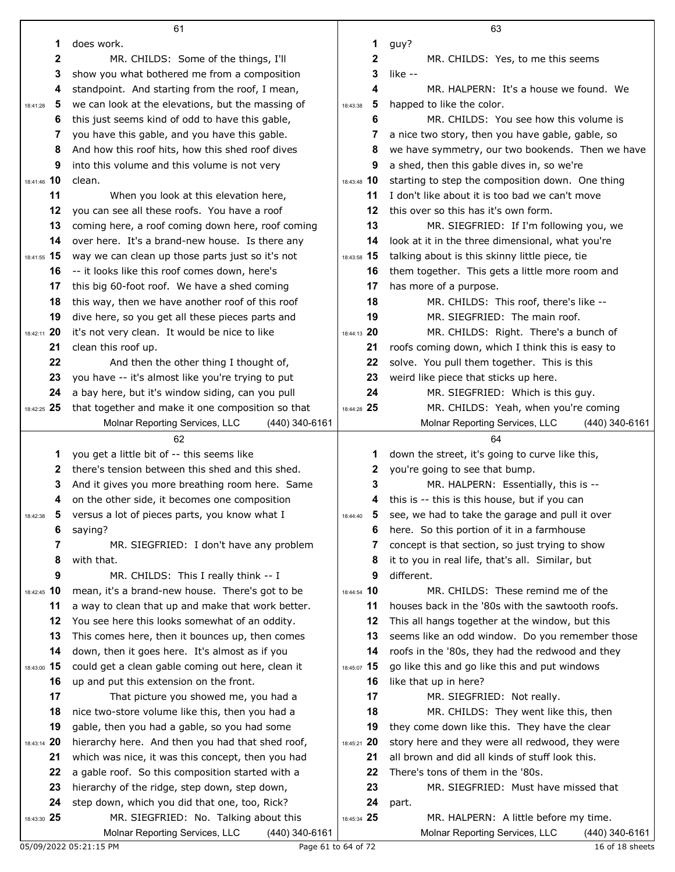|                         | 61                                                                                               |                         | 63                                                                                    |
|-------------------------|--------------------------------------------------------------------------------------------------|-------------------------|---------------------------------------------------------------------------------------|
| 1                       | does work.                                                                                       | 1                       | guy?                                                                                  |
| 2                       | MR. CHILDS: Some of the things, I'll                                                             | 2                       | MR. CHILDS: Yes, to me this seems                                                     |
| 3                       | show you what bothered me from a composition                                                     | 3                       | like --                                                                               |
| 4                       | standpoint. And starting from the roof, I mean,                                                  | 4                       | MR. HALPERN: It's a house we found. We                                                |
| -5<br>18:41:28          | we can look at the elevations, but the massing of                                                | 5<br>18:43:38           | happed to like the color.                                                             |
| 6                       | this just seems kind of odd to have this gable,                                                  | 6                       | MR. CHILDS: You see how this volume is                                                |
| 7                       | you have this gable, and you have this gable.                                                    | 7                       | a nice two story, then you have gable, gable, so                                      |
| 8                       | And how this roof hits, how this shed roof dives                                                 | 8                       | we have symmetry, our two bookends. Then we have                                      |
| 9                       | into this volume and this volume is not very                                                     | 9                       | a shed, then this gable dives in, so we're                                            |
| 18:41:46 10             | clean.                                                                                           | 18:43:48 10             | starting to step the composition down. One thing                                      |
| 11                      | When you look at this elevation here,                                                            | 11                      | I don't like about it is too bad we can't move                                        |
| 12                      | you can see all these roofs. You have a roof                                                     | 12                      | this over so this has it's own form.                                                  |
| 13                      | coming here, a roof coming down here, roof coming                                                | 13                      | MR. SIEGFRIED: If I'm following you, we                                               |
| 14                      | over here. It's a brand-new house. Is there any                                                  | 14                      | look at it in the three dimensional, what you're                                      |
| 18:41:55 15             | way we can clean up those parts just so it's not                                                 | 18:43:58 15             | talking about is this skinny little piece, tie                                        |
| 16                      | -- it looks like this roof comes down, here's                                                    | 16                      | them together. This gets a little more room and                                       |
| 17                      | this big 60-foot roof. We have a shed coming                                                     | 17                      | has more of a purpose.                                                                |
| 18                      | this way, then we have another roof of this roof                                                 | 18                      | MR. CHILDS: This roof, there's like --                                                |
| 19                      | dive here, so you get all these pieces parts and                                                 | 19                      | MR. SIEGFRIED: The main roof.                                                         |
| 18:42:11 20             | it's not very clean. It would be nice to like                                                    | 18:44:13 20             | MR. CHILDS: Right. There's a bunch of                                                 |
| 21                      | clean this roof up.                                                                              | 21                      | roofs coming down, which I think this is easy to                                      |
| 22                      | And then the other thing I thought of,                                                           | 22                      | solve. You pull them together. This is this                                           |
| 23                      | you have -- it's almost like you're trying to put                                                | 23                      | weird like piece that sticks up here.                                                 |
| 24                      | a bay here, but it's window siding, can you pull                                                 | 24                      | MR. SIEGFRIED: Which is this guy.                                                     |
| 18:42:25 25             | that together and make it one composition so that                                                | 18:44:28 25             | MR. CHILDS: Yeah, when you're coming                                                  |
|                         | Molnar Reporting Services, LLC<br>(440) 340-6161                                                 |                         | Molnar Reporting Services, LLC<br>(440) 340-6161                                      |
|                         | 62                                                                                               |                         | 64                                                                                    |
| 1                       | you get a little bit of -- this seems like                                                       | 1                       | down the street, it's going to curve like this,                                       |
| 2                       | there's tension between this shed and this shed.                                                 | 2                       | you're going to see that bump.                                                        |
| 3<br>4                  | And it gives you more breathing room here. Same<br>on the other side, it becomes one composition | 3<br>4                  | MR. HALPERN: Essentially, this is --<br>this is -- this is this house, but if you can |
| $\overline{\mathbf{5}}$ | versus a lot of pieces parts, you know what I                                                    | $\overline{\mathbf{5}}$ | see, we had to take the garage and pull it over                                       |
| 18:42:38<br>6           | saying?                                                                                          | 18:44:40<br>6           | here. So this portion of it in a farmhouse                                            |
| 7                       | MR. SIEGFRIED: I don't have any problem                                                          | 7                       | concept is that section, so just trying to show                                       |
| 8                       | with that.                                                                                       | 8                       | it to you in real life, that's all. Similar, but                                      |
| 9                       | MR. CHILDS: This I really think -- I                                                             | 9                       | different.                                                                            |
| 18:42:45 10             | mean, it's a brand-new house. There's got to be                                                  | 18:44:54 10             | MR. CHILDS: These remind me of the                                                    |
| 11                      | a way to clean that up and make that work better.                                                | 11                      | houses back in the '80s with the sawtooth roofs.                                      |
| 12                      | You see here this looks somewhat of an oddity.                                                   | 12                      | This all hangs together at the window, but this                                       |
| 13                      | This comes here, then it bounces up, then comes                                                  | 13                      | seems like an odd window. Do you remember those                                       |
| 14                      | down, then it goes here. It's almost as if you                                                   | 14                      | roofs in the '80s, they had the redwood and they                                      |
| 18:43:00 15             | could get a clean gable coming out here, clean it                                                | 18:45:07 15             | go like this and go like this and put windows                                         |
| 16                      | up and put this extension on the front.                                                          | 16                      | like that up in here?                                                                 |
| 17                      | That picture you showed me, you had a                                                            | 17                      | MR. SIEGFRIED: Not really.                                                            |
| 18                      | nice two-store volume like this, then you had a                                                  | 18                      | MR. CHILDS: They went like this, then                                                 |
| 19                      | gable, then you had a gable, so you had some                                                     | 19                      | they come down like this. They have the clear                                         |
| 18:43:14 20             | hierarchy here. And then you had that shed roof,                                                 | 18:45:21 20             | story here and they were all redwood, they were                                       |
| 21                      | which was nice, it was this concept, then you had                                                | 21                      | all brown and did all kinds of stuff look this.                                       |
| 22                      | a gable roof. So this composition started with a                                                 | 22                      | There's tons of them in the '80s.                                                     |
| 23                      | hierarchy of the ridge, step down, step down,                                                    | 23                      | MR. SIEGFRIED: Must have missed that                                                  |
| 24                      | step down, which you did that one, too, Rick?                                                    | 24                      | part.                                                                                 |
| 18:43:30 25             | MR. SIEGFRIED: No. Talking about this                                                            | 18:45:34 25             | MR. HALPERN: A little before my time.                                                 |
|                         | Molnar Reporting Services, LLC<br>$(440)$ 340-6161                                               |                         | Molnar Reporting Services, LLC<br>(440) 340-6161                                      |
|                         | 05/09/2022 05:21:15 PM                                                                           | Page 61 to 64 of 72     | 16 of 18 sheets                                                                       |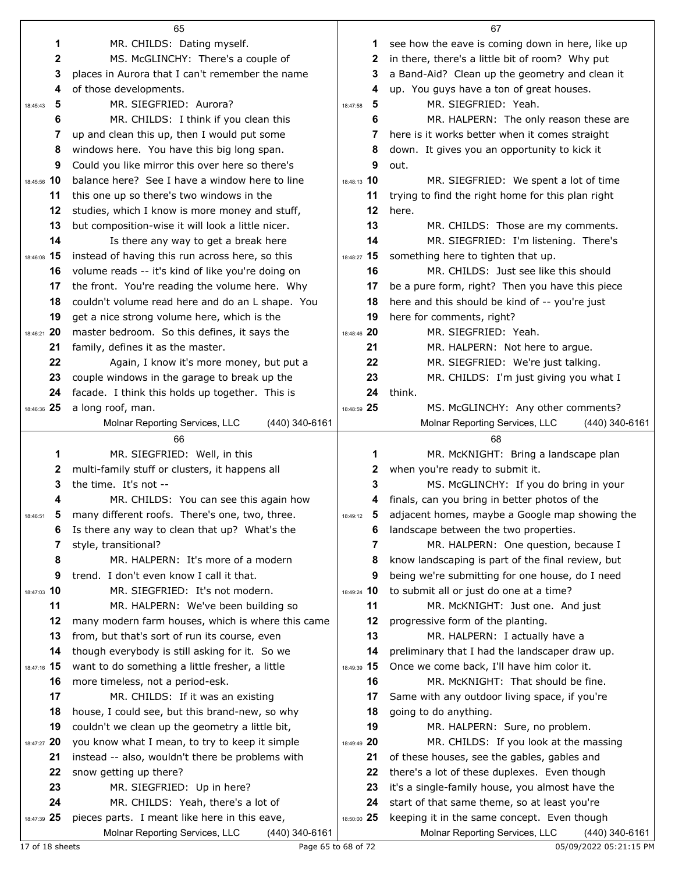|                        | 65                                                                                                |               | 67                                                                                              |
|------------------------|---------------------------------------------------------------------------------------------------|---------------|-------------------------------------------------------------------------------------------------|
| 1                      | MR. CHILDS: Dating myself.                                                                        | 1             | see how the eave is coming down in here, like up                                                |
| 2                      | MS. McGLINCHY: There's a couple of                                                                | 2             | in there, there's a little bit of room? Why put                                                 |
| 3                      | places in Aurora that I can't remember the name                                                   | 3             | a Band-Aid? Clean up the geometry and clean it                                                  |
| 4                      | of those developments.                                                                            | 4             | up. You guys have a ton of great houses.                                                        |
| 5<br>18:45:43          | MR. SIEGFRIED: Aurora?                                                                            | 5<br>18:47:58 | MR. SIEGFRIED: Yeah.                                                                            |
| 6                      | MR. CHILDS: I think if you clean this                                                             | 6             | MR. HALPERN: The only reason these are                                                          |
| 7                      | up and clean this up, then I would put some                                                       | 7             | here is it works better when it comes straight                                                  |
| 8                      | windows here. You have this big long span.                                                        | 8             | down. It gives you an opportunity to kick it                                                    |
| 9                      | Could you like mirror this over here so there's                                                   | 9             | out.                                                                                            |
| 18:45:56 10            | balance here? See I have a window here to line                                                    | 18:48:13 10   | MR. SIEGFRIED: We spent a lot of time                                                           |
| 11                     | this one up so there's two windows in the                                                         | 11            | trying to find the right home for this plan right                                               |
| 12                     | studies, which I know is more money and stuff,                                                    | 12            | here.                                                                                           |
| 13                     | but composition-wise it will look a little nicer.                                                 | 13            | MR. CHILDS: Those are my comments.                                                              |
| 14                     | Is there any way to get a break here                                                              | 14            | MR. SIEGFRIED: I'm listening. There's                                                           |
| 18:46:08 15            | instead of having this run across here, so this                                                   | 18:48:27 15   | something here to tighten that up.                                                              |
| 16                     | volume reads -- it's kind of like you're doing on                                                 | 16            | MR. CHILDS: Just see like this should                                                           |
| 17                     | the front. You're reading the volume here. Why                                                    | 17            | be a pure form, right? Then you have this piece                                                 |
| 18                     | couldn't volume read here and do an L shape. You                                                  | 18            | here and this should be kind of -- you're just                                                  |
| 19                     | get a nice strong volume here, which is the                                                       | 19            | here for comments, right?                                                                       |
| 18:46:21 20            | master bedroom. So this defines, it says the                                                      | 18:48:46 20   | MR. SIEGFRIED: Yeah.                                                                            |
| 21                     | family, defines it as the master.                                                                 | 21            | MR. HALPERN: Not here to argue.                                                                 |
| 22                     | Again, I know it's more money, but put a                                                          | 22            | MR. SIEGFRIED: We're just talking.                                                              |
| 23                     | couple windows in the garage to break up the                                                      | 23            | MR. CHILDS: I'm just giving you what I                                                          |
| 24                     | facade. I think this holds up together. This is                                                   | 24            | think.                                                                                          |
| 18:46:36 25            | a long roof, man.                                                                                 | 18:48:59 25   | MS. McGLINCHY: Any other comments?                                                              |
|                        | $(440)$ 340-6161<br>Molnar Reporting Services, LLC                                                |               | Molnar Reporting Services, LLC<br>(440) 340-6161                                                |
|                        |                                                                                                   |               |                                                                                                 |
|                        | 66                                                                                                |               | 68                                                                                              |
| 1                      | MR. SIEGFRIED: Well, in this                                                                      | 1             | MR. McKNIGHT: Bring a landscape plan                                                            |
| 2                      | multi-family stuff or clusters, it happens all                                                    | 2             | when you're ready to submit it.                                                                 |
| 3                      | the time. It's not --                                                                             | 3             | MS. McGLINCHY: If you do bring in your                                                          |
| 4                      | MR. CHILDS: You can see this again how                                                            | 4             | finals, can you bring in better photos of the                                                   |
| $\sqrt{5}$<br>18:46:51 | many different roofs. There's one, two, three.                                                    | 5<br>18:49:12 | adjacent homes, maybe a Google map showing the                                                  |
| 6                      | Is there any way to clean that up? What's the                                                     | 6             | landscape between the two properties.                                                           |
| 7                      | style, transitional?                                                                              | 7             | MR. HALPERN: One question, because I                                                            |
| 8<br>9                 | MR. HALPERN: It's more of a modern                                                                | 8<br>9        | know landscaping is part of the final review, but                                               |
| 18:47:03 10            | trend. I don't even know I call it that.<br>MR. SIEGFRIED: It's not modern.                       | 18:49:24 10   | being we're submitting for one house, do I need<br>to submit all or just do one at a time?      |
| 11                     | MR. HALPERN: We've been building so                                                               | 11            | MR. McKNIGHT: Just one. And just                                                                |
| 12                     | many modern farm houses, which is where this came                                                 | 12            | progressive form of the planting.                                                               |
| 13                     | from, but that's sort of run its course, even                                                     | 13            | MR. HALPERN: I actually have a                                                                  |
| 14                     | though everybody is still asking for it. So we                                                    | 14            | preliminary that I had the landscaper draw up.                                                  |
| 18:47:16 15            | want to do something a little fresher, a little                                                   | 18:49:39 15   | Once we come back, I'll have him color it.                                                      |
| 16                     | more timeless, not a period-esk.                                                                  | 16            | MR. McKNIGHT: That should be fine.                                                              |
| 17                     | MR. CHILDS: If it was an existing                                                                 | 17            | Same with any outdoor living space, if you're                                                   |
| 18                     | house, I could see, but this brand-new, so why                                                    | 18            | going to do anything.                                                                           |
| 19                     | couldn't we clean up the geometry a little bit,                                                   | 19            | MR. HALPERN: Sure, no problem.                                                                  |
| 18:47:27 20            | you know what I mean, to try to keep it simple                                                    | 18:49:49 20   | MR. CHILDS: If you look at the massing                                                          |
| 21                     | instead -- also, wouldn't there be problems with                                                  | 21            | of these houses, see the gables, gables and                                                     |
| 22                     | snow getting up there?                                                                            | 22            | there's a lot of these duplexes. Even though                                                    |
| 23                     | MR. SIEGFRIED: Up in here?                                                                        | 23            | it's a single-family house, you almost have the                                                 |
| 24                     | MR. CHILDS: Yeah, there's a lot of                                                                | 24            | start of that same theme, so at least you're                                                    |
| 18:47:39 25            | pieces parts. I meant like here in this eave,<br>Molnar Reporting Services, LLC<br>(440) 340-6161 | 18:50:00 25   | keeping it in the same concept. Even though<br>Molnar Reporting Services, LLC<br>(440) 340-6161 |